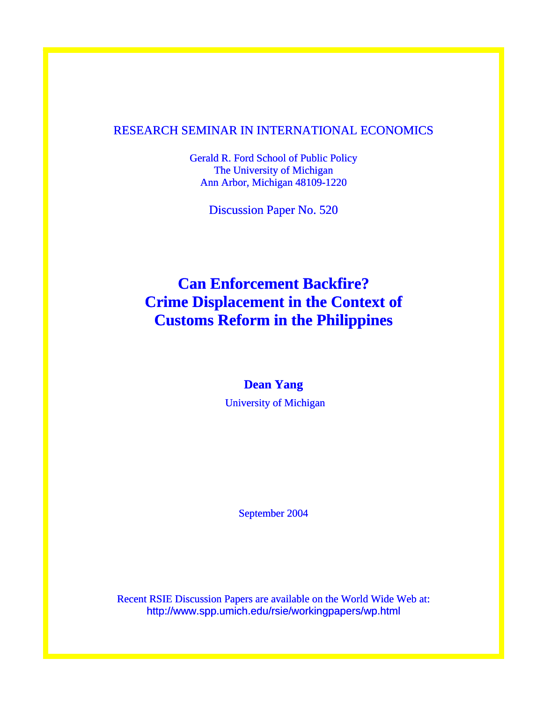## RESEARCH SEMINAR IN INTERNATIONAL ECONOMICS

Gerald R. Ford School of Public Policy The University of Michigan Ann Arbor, Michigan 48109-1220

Discussion Paper No. 520

# **Can Enforcement Backfire? Crime Displacement in the Context of Customs Reform in the Philippines**

## **Dean Yang**

University of Michigan

September 2004

Recent RSIE Discussion Papers are available on the World Wide Web at: http://www.spp.umich.edu/rsie/workingpapers/wp.html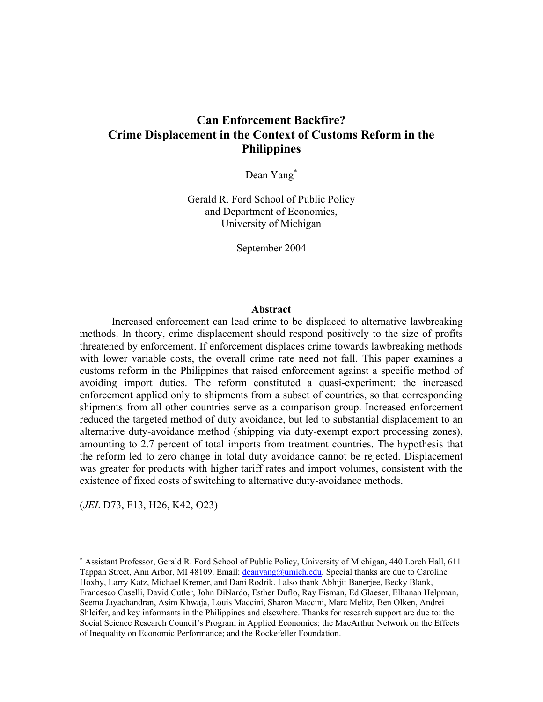## **Can Enforcement Backfire? Crime Displacement in the Context of Customs Reform in the Philippines**

Dean Yang<sup>∗</sup>

Gerald R. Ford School of Public Policy and Department of Economics, University of Michigan

September 2004

#### **Abstract**

Increased enforcement can lead crime to be displaced to alternative lawbreaking methods. In theory, crime displacement should respond positively to the size of profits threatened by enforcement. If enforcement displaces crime towards lawbreaking methods with lower variable costs, the overall crime rate need not fall. This paper examines a customs reform in the Philippines that raised enforcement against a specific method of avoiding import duties. The reform constituted a quasi-experiment: the increased enforcement applied only to shipments from a subset of countries, so that corresponding shipments from all other countries serve as a comparison group. Increased enforcement reduced the targeted method of duty avoidance, but led to substantial displacement to an alternative duty-avoidance method (shipping via duty-exempt export processing zones), amounting to 2.7 percent of total imports from treatment countries. The hypothesis that the reform led to zero change in total duty avoidance cannot be rejected. Displacement was greater for products with higher tariff rates and import volumes, consistent with the existence of fixed costs of switching to alternative duty-avoidance methods.

(*JEL* D73, F13, H26, K42, O23)

 $\overline{a}$ 

<sup>∗</sup> Assistant Professor, Gerald R. Ford School of Public Policy, University of Michigan, 440 Lorch Hall, 611 Tappan Street, Ann Arbor, MI 48109. Email: deanyang@umich.edu. Special thanks are due to Caroline Hoxby, Larry Katz, Michael Kremer, and Dani Rodrik. I also thank Abhijit Banerjee, Becky Blank, Francesco Caselli, David Cutler, John DiNardo, Esther Duflo, Ray Fisman, Ed Glaeser, Elhanan Helpman, Seema Jayachandran, Asim Khwaja, Louis Maccini, Sharon Maccini, Marc Melitz, Ben Olken, Andrei Shleifer, and key informants in the Philippines and elsewhere. Thanks for research support are due to: the Social Science Research Council's Program in Applied Economics; the MacArthur Network on the Effects of Inequality on Economic Performance; and the Rockefeller Foundation.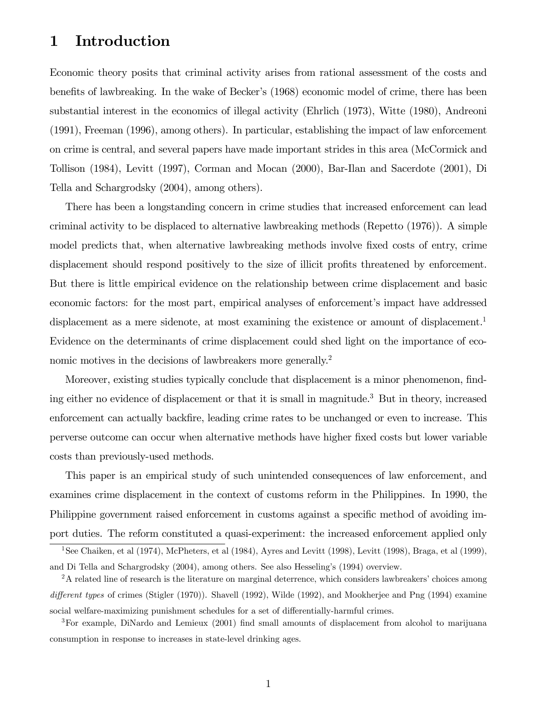## 1 Introduction

Economic theory posits that criminal activity arises from rational assessment of the costs and benefits of lawbreaking. In the wake of Becker's (1968) economic model of crime, there has been substantial interest in the economics of illegal activity (Ehrlich (1973), Witte (1980), Andreoni (1991), Freeman (1996), among others). In particular, establishing the impact of law enforcement on crime is central, and several papers have made important strides in this area (McCormick and Tollison (1984), Levitt (1997), Corman and Mocan (2000), Bar-Ilan and Sacerdote (2001), Di Tella and Schargrodsky (2004), among others).

There has been a longstanding concern in crime studies that increased enforcement can lead criminal activity to be displaced to alternative lawbreaking methods (Repetto (1976)). A simple model predicts that, when alternative lawbreaking methods involve fixed costs of entry, crime displacement should respond positively to the size of illicit profits threatened by enforcement. But there is little empirical evidence on the relationship between crime displacement and basic economic factors: for the most part, empirical analyses of enforcement's impact have addressed displacement as a mere sidenote, at most examining the existence or amount of displacement.<sup>1</sup> Evidence on the determinants of crime displacement could shed light on the importance of economic motives in the decisions of lawbreakers more generally.<sup>2</sup>

Moreover, existing studies typically conclude that displacement is a minor phenomenon, finding either no evidence of displacement or that it is small in magnitude.3 But in theory, increased enforcement can actually backfire, leading crime rates to be unchanged or even to increase. This perverse outcome can occur when alternative methods have higher fixed costs but lower variable costs than previously-used methods.

This paper is an empirical study of such unintended consequences of law enforcement, and examines crime displacement in the context of customs reform in the Philippines. In 1990, the Philippine government raised enforcement in customs against a specific method of avoiding import duties. The reform constituted a quasi-experiment: the increased enforcement applied only

 $\frac{1}{1}$ See Chaiken, et al (1974), McPheters, et al (1984), Ayres and Levitt (1998), Levitt (1998), Braga, et al (1999), and Di Tella and Schargrodsky (2004), among others. See also Hesseling's (1994) overview.

<sup>&</sup>lt;sup>2</sup>A related line of research is the literature on marginal deterrence, which considers lawbreakers' choices among different types of crimes (Stigler (1970)). Shavell (1992), Wilde (1992), and Mookherjee and Png (1994) examine social welfare-maximizing punishment schedules for a set of differentially-harmful crimes.

<sup>3</sup>For example, DiNardo and Lemieux (2001) find small amounts of displacement from alcohol to marijuana consumption in response to increases in state-level drinking ages.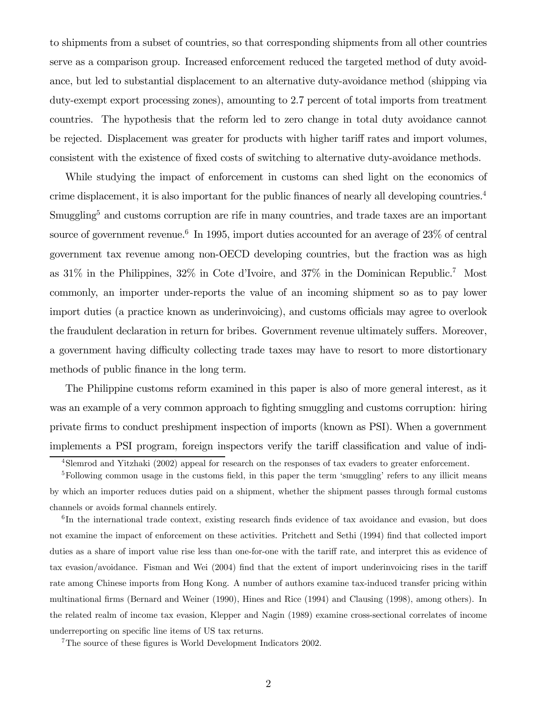to shipments from a subset of countries, so that corresponding shipments from all other countries serve as a comparison group. Increased enforcement reduced the targeted method of duty avoidance, but led to substantial displacement to an alternative duty-avoidance method (shipping via duty-exempt export processing zones), amounting to 2.7 percent of total imports from treatment countries. The hypothesis that the reform led to zero change in total duty avoidance cannot be rejected. Displacement was greater for products with higher tariff rates and import volumes, consistent with the existence of fixed costs of switching to alternative duty-avoidance methods.

While studying the impact of enforcement in customs can shed light on the economics of crime displacement, it is also important for the public finances of nearly all developing countries.4 Smuggling<sup>5</sup> and customs corruption are rife in many countries, and trade taxes are an important source of government revenue.<sup>6</sup> In 1995, import duties accounted for an average of  $23\%$  of central government tax revenue among non-OECD developing countries, but the fraction was as high as  $31\%$  in the Philippines,  $32\%$  in Cote d'Ivoire, and  $37\%$  in the Dominican Republic.<sup>7</sup> Most commonly, an importer under-reports the value of an incoming shipment so as to pay lower import duties (a practice known as underinvoicing), and customs officials may agree to overlook the fraudulent declaration in return for bribes. Government revenue ultimately suffers. Moreover, a government having difficulty collecting trade taxes may have to resort to more distortionary methods of public finance in the long term.

The Philippine customs reform examined in this paper is also of more general interest, as it was an example of a very common approach to fighting smuggling and customs corruption: hiring private firms to conduct preshipment inspection of imports (known as PSI). When a government implements a PSI program, foreign inspectors verify the tariff classification and value of indi-

<sup>6</sup>In the international trade context, existing research finds evidence of tax avoidance and evasion, but does not examine the impact of enforcement on these activities. Pritchett and Sethi (1994) find that collected import duties as a share of import value rise less than one-for-one with the tariff rate, and interpret this as evidence of tax evasion/avoidance. Fisman and Wei (2004) find that the extent of import underinvoicing rises in the tariff rate among Chinese imports from Hong Kong. A number of authors examine tax-induced transfer pricing within multinational firms (Bernard and Weiner (1990), Hines and Rice (1994) and Clausing (1998), among others). In the related realm of income tax evasion, Klepper and Nagin (1989) examine cross-sectional correlates of income underreporting on specific line items of US tax returns.

7The source of these figures is World Development Indicators 2002.

<sup>4</sup>Slemrod and Yitzhaki (2002) appeal for research on the responses of tax evaders to greater enforcement.

<sup>5</sup>Following common usage in the customs field, in this paper the term 'smuggling' refers to any illicit means by which an importer reduces duties paid on a shipment, whether the shipment passes through formal customs channels or avoids formal channels entirely.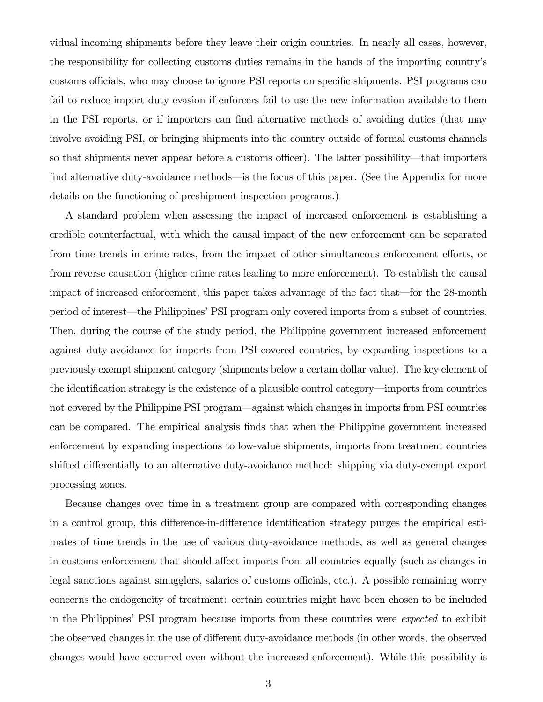vidual incoming shipments before they leave their origin countries. In nearly all cases, however, the responsibility for collecting customs duties remains in the hands of the importing country's customs officials, who may choose to ignore PSI reports on specific shipments. PSI programs can fail to reduce import duty evasion if enforcers fail to use the new information available to them in the PSI reports, or if importers can find alternative methods of avoiding duties (that may involve avoiding PSI, or bringing shipments into the country outside of formal customs channels so that shipments never appear before a customs officer). The latter possibility–that importers find alternative duty-avoidance methods—is the focus of this paper. (See the Appendix for more details on the functioning of preshipment inspection programs.)

A standard problem when assessing the impact of increased enforcement is establishing a credible counterfactual, with which the causal impact of the new enforcement can be separated from time trends in crime rates, from the impact of other simultaneous enforcement efforts, or from reverse causation (higher crime rates leading to more enforcement). To establish the causal impact of increased enforcement, this paper takes advantage of the fact that–for the 28-month period of interest–the Philippines' PSI program only covered imports from a subset of countries. Then, during the course of the study period, the Philippine government increased enforcement against duty-avoidance for imports from PSI-covered countries, by expanding inspections to a previously exempt shipment category (shipments below a certain dollar value). The key element of the identification strategy is the existence of a plausible control category–imports from countries not covered by the Philippine PSI program–against which changes in imports from PSI countries can be compared. The empirical analysis finds that when the Philippine government increased enforcement by expanding inspections to low-value shipments, imports from treatment countries shifted differentially to an alternative duty-avoidance method: shipping via duty-exempt export processing zones.

Because changes over time in a treatment group are compared with corresponding changes in a control group, this difference-in-difference identification strategy purges the empirical estimates of time trends in the use of various duty-avoidance methods, as well as general changes in customs enforcement that should affect imports from all countries equally (such as changes in legal sanctions against smugglers, salaries of customs officials, etc.). A possible remaining worry concerns the endogeneity of treatment: certain countries might have been chosen to be included in the Philippines' PSI program because imports from these countries were expected to exhibit the observed changes in the use of different duty-avoidance methods (in other words, the observed changes would have occurred even without the increased enforcement). While this possibility is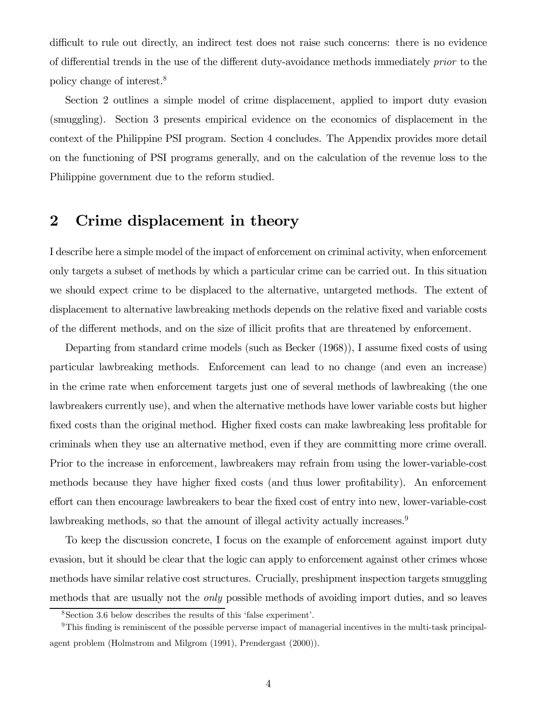difficult to rule out directly, an indirect test does not raise such concerns: there is no evidence of differential trends in the use of the different duty-avoidance methods immediately prior to the policy change of interest.8

Section 2 outlines a simple model of crime displacement, applied to import duty evasion (smuggling). Section 3 presents empirical evidence on the economics of displacement in the context of the Philippine PSI program. Section 4 concludes. The Appendix provides more detail on the functioning of PSI programs generally, and on the calculation of the revenue loss to the Philippine government due to the reform studied.

## 2 Crime displacement in theory

I describe here a simple model of the impact of enforcement on criminal activity, when enforcement only targets a subset of methods by which a particular crime can be carried out. In this situation we should expect crime to be displaced to the alternative, untargeted methods. The extent of displacement to alternative lawbreaking methods depends on the relative fixed and variable costs of the different methods, and on the size of illicit profits that are threatened by enforcement.

Departing from standard crime models (such as Becker (1968)), I assume fixed costs of using particular lawbreaking methods. Enforcement can lead to no change (and even an increase) in the crime rate when enforcement targets just one of several methods of lawbreaking (the one lawbreakers currently use), and when the alternative methods have lower variable costs but higher fixed costs than the original method. Higher fixed costs can make lawbreaking less profitable for criminals when they use an alternative method, even if they are committing more crime overall. Prior to the increase in enforcement, lawbreakers may refrain from using the lower-variable-cost methods because they have higher fixed costs (and thus lower profitability). An enforcement effort can then encourage lawbreakers to bear the fixed cost of entry into new, lower-variable-cost lawbreaking methods, so that the amount of illegal activity actually increases.<sup>9</sup>

To keep the discussion concrete, I focus on the example of enforcement against import duty evasion, but it should be clear that the logic can apply to enforcement against other crimes whose methods have similar relative cost structures. Crucially, preshipment inspection targets smuggling methods that are usually not the only possible methods of avoiding import duties, and so leaves

<sup>8</sup>Section 3.6 below describes the results of this 'false experiment'.

<sup>9</sup>This finding is reminiscent of the possible perverse impact of managerial incentives in the multi-task principalagent problem (Holmstrom and Milgrom (1991), Prendergast (2000)).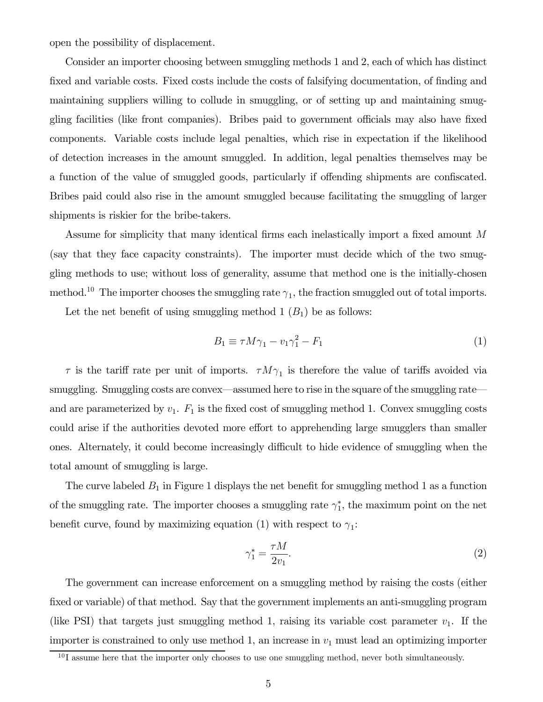open the possibility of displacement.

Consider an importer choosing between smuggling methods 1 and 2, each of which has distinct fixed and variable costs. Fixed costs include the costs of falsifying documentation, of finding and maintaining suppliers willing to collude in smuggling, or of setting up and maintaining smuggling facilities (like front companies). Bribes paid to government officials may also have fixed components. Variable costs include legal penalties, which rise in expectation if the likelihood of detection increases in the amount smuggled. In addition, legal penalties themselves may be a function of the value of smuggled goods, particularly if offending shipments are confiscated. Bribes paid could also rise in the amount smuggled because facilitating the smuggling of larger shipments is riskier for the bribe-takers.

Assume for simplicity that many identical firms each inelastically import a fixed amount M (say that they face capacity constraints). The importer must decide which of the two smuggling methods to use; without loss of generality, assume that method one is the initially-chosen method.<sup>10</sup> The importer chooses the smuggling rate  $\gamma_1$ , the fraction smuggled out of total imports.

Let the net benefit of using smuggling method  $1 (B_1)$  be as follows:

$$
B_1 \equiv \tau M \gamma_1 - v_1 \gamma_1^2 - F_1 \tag{1}
$$

 $\tau$  is the tariff rate per unit of imports.  $\tau M\gamma_1$  is therefore the value of tariffs avoided via smuggling. Smuggling costs are convex—assumed here to rise in the square of the smuggling rate and are parameterized by  $v_1$ .  $F_1$  is the fixed cost of smuggling method 1. Convex smuggling costs could arise if the authorities devoted more effort to apprehending large smugglers than smaller ones. Alternately, it could become increasingly difficult to hide evidence of smuggling when the total amount of smuggling is large.

The curve labeled  $B_1$  in Figure 1 displays the net benefit for smuggling method 1 as a function of the smuggling rate. The importer chooses a smuggling rate  $\gamma_1^*$ , the maximum point on the net benefit curve, found by maximizing equation (1) with respect to  $\gamma_1$ :

$$
\gamma_1^* = \frac{\tau M}{2v_1}.\tag{2}
$$

The government can increase enforcement on a smuggling method by raising the costs (either fixed or variable) of that method. Say that the government implements an anti-smuggling program (like PSI) that targets just smuggling method 1, raising its variable cost parameter  $v_1$ . If the importer is constrained to only use method 1, an increase in  $v_1$  must lead an optimizing importer

 $10I$  assume here that the importer only chooses to use one smuggling method, never both simultaneously.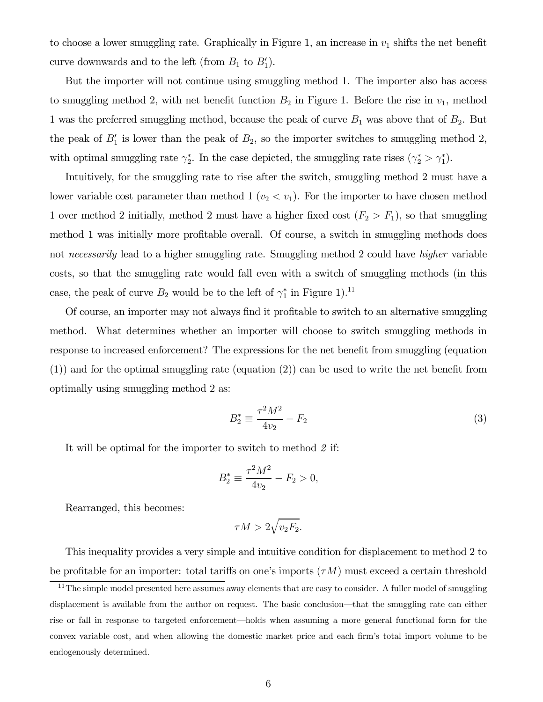to choose a lower smuggling rate. Graphically in Figure 1, an increase in  $v_1$  shifts the net benefit curve downwards and to the left (from  $B_1$  to  $B'_1$ ).

But the importer will not continue using smuggling method 1. The importer also has access to smuggling method 2, with net benefit function  $B_2$  in Figure 1. Before the rise in  $v_1$ , method 1 was the preferred smuggling method, because the peak of curve  $B_1$  was above that of  $B_2$ . But the peak of  $B_1'$  is lower than the peak of  $B_2$ , so the importer switches to smuggling method 2, with optimal smuggling rate  $\gamma_2^*$ . In the case depicted, the smuggling rate rises  $(\gamma_2^* > \gamma_1^*)$ .

Intuitively, for the smuggling rate to rise after the switch, smuggling method 2 must have a lower variable cost parameter than method 1  $(v_2 < v_1)$ . For the importer to have chosen method 1 over method 2 initially, method 2 must have a higher fixed cost  $(F_2 > F_1)$ , so that smuggling method 1 was initially more profitable overall. Of course, a switch in smuggling methods does not *necessarily* lead to a higher smuggling rate. Smuggling method 2 could have *higher* variable costs, so that the smuggling rate would fall even with a switch of smuggling methods (in this case, the peak of curve  $B_2$  would be to the left of  $\gamma_1^*$  in Figure 1).<sup>11</sup>

Of course, an importer may not always find it profitable to switch to an alternative smuggling method. What determines whether an importer will choose to switch smuggling methods in response to increased enforcement? The expressions for the net benefit from smuggling (equation (1)) and for the optimal smuggling rate (equation (2)) can be used to write the net benefit from optimally using smuggling method 2 as:

$$
B_2^* \equiv \frac{\tau^2 M^2}{4v_2} - F_2 \tag{3}
$$

It will be optimal for the importer to switch to method 2 if:

$$
B_2^* \equiv \frac{\tau^2 M^2}{4v_2} - F_2 > 0,
$$

Rearranged, this becomes:

$$
\tau M > 2\sqrt{v_2 F_2}.
$$

This inequality provides a very simple and intuitive condition for displacement to method 2 to be profitable for an importer: total tariffs on one's imports  $(\tau M)$  must exceed a certain threshold

 $11$ The simple model presented here assumes away elements that are easy to consider. A fuller model of smuggling displacement is available from the author on request. The basic conclusion–that the smuggling rate can either rise or fall in response to targeted enforcement–holds when assuming a more general functional form for the convex variable cost, and when allowing the domestic market price and each firm's total import volume to be endogenously determined.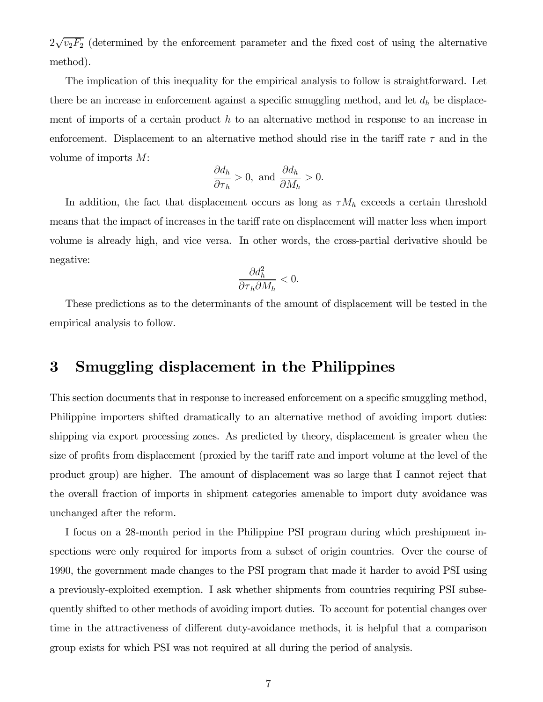$2\sqrt{v_2F_2}$  (determined by the enforcement parameter and the fixed cost of using the alternative method).

The implication of this inequality for the empirical analysis to follow is straightforward. Let there be an increase in enforcement against a specific smuggling method, and let  $d_h$  be displacement of imports of a certain product  $h$  to an alternative method in response to an increase in enforcement. Displacement to an alternative method should rise in the tariff rate  $\tau$  and in the volume of imports M:

$$
\frac{\partial d_h}{\partial \tau_h} > 0, \text{ and } \frac{\partial d_h}{\partial M_h} > 0.
$$

In addition, the fact that displacement occurs as long as  $\tau M_h$  exceeds a certain threshold means that the impact of increases in the tariff rate on displacement will matter less when import volume is already high, and vice versa. In other words, the cross-partial derivative should be negative:

$$
\frac{\partial d_h^2}{\partial \tau_h \partial M_h} < 0.
$$

These predictions as to the determinants of the amount of displacement will be tested in the empirical analysis to follow.

## 3 Smuggling displacement in the Philippines

This section documents that in response to increased enforcement on a specific smuggling method, Philippine importers shifted dramatically to an alternative method of avoiding import duties: shipping via export processing zones. As predicted by theory, displacement is greater when the size of profits from displacement (proxied by the tariff rate and import volume at the level of the product group) are higher. The amount of displacement was so large that I cannot reject that the overall fraction of imports in shipment categories amenable to import duty avoidance was unchanged after the reform.

I focus on a 28-month period in the Philippine PSI program during which preshipment inspections were only required for imports from a subset of origin countries. Over the course of 1990, the government made changes to the PSI program that made it harder to avoid PSI using a previously-exploited exemption. I ask whether shipments from countries requiring PSI subsequently shifted to other methods of avoiding import duties. To account for potential changes over time in the attractiveness of different duty-avoidance methods, it is helpful that a comparison group exists for which PSI was not required at all during the period of analysis.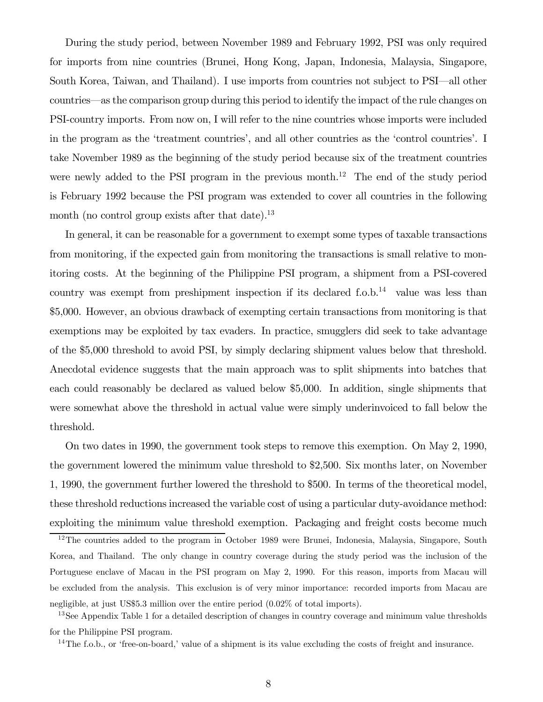During the study period, between November 1989 and February 1992, PSI was only required for imports from nine countries (Brunei, Hong Kong, Japan, Indonesia, Malaysia, Singapore, South Korea, Taiwan, and Thailand). I use imports from countries not subject to PSI–all other countries–as the comparison group during this period to identify the impact of the rule changes on PSI-country imports. From now on, I will refer to the nine countries whose imports were included in the program as the 'treatment countries', and all other countries as the 'control countries'. I take November 1989 as the beginning of the study period because six of the treatment countries were newly added to the PSI program in the previous month.<sup>12</sup> The end of the study period is February 1992 because the PSI program was extended to cover all countries in the following month (no control group exists after that date).<sup>13</sup>

In general, it can be reasonable for a government to exempt some types of taxable transactions from monitoring, if the expected gain from monitoring the transactions is small relative to monitoring costs. At the beginning of the Philippine PSI program, a shipment from a PSI-covered country was exempt from preshipment inspection if its declared f.o.b.<sup>14</sup> value was less than \$5,000. However, an obvious drawback of exempting certain transactions from monitoring is that exemptions may be exploited by tax evaders. In practice, smugglers did seek to take advantage of the \$5,000 threshold to avoid PSI, by simply declaring shipment values below that threshold. Anecdotal evidence suggests that the main approach was to split shipments into batches that each could reasonably be declared as valued below \$5,000. In addition, single shipments that were somewhat above the threshold in actual value were simply underinvoiced to fall below the threshold.

On two dates in 1990, the government took steps to remove this exemption. On May 2, 1990, the government lowered the minimum value threshold to \$2,500. Six months later, on November 1, 1990, the government further lowered the threshold to \$500. In terms of the theoretical model, these threshold reductions increased the variable cost of using a particular duty-avoidance method: exploiting the minimum value threshold exemption. Packaging and freight costs become much

<sup>&</sup>lt;sup>12</sup>The countries added to the program in October 1989 were Brunei, Indonesia, Malaysia, Singapore, South Korea, and Thailand. The only change in country coverage during the study period was the inclusion of the Portuguese enclave of Macau in the PSI program on May 2, 1990. For this reason, imports from Macau will be excluded from the analysis. This exclusion is of very minor importance: recorded imports from Macau are negligible, at just US\$5.3 million over the entire period (0.02% of total imports).

<sup>&</sup>lt;sup>13</sup>See Appendix Table 1 for a detailed description of changes in country coverage and minimum value thresholds for the Philippine PSI program.

<sup>&</sup>lt;sup>14</sup>The f.o.b., or 'free-on-board,' value of a shipment is its value excluding the costs of freight and insurance.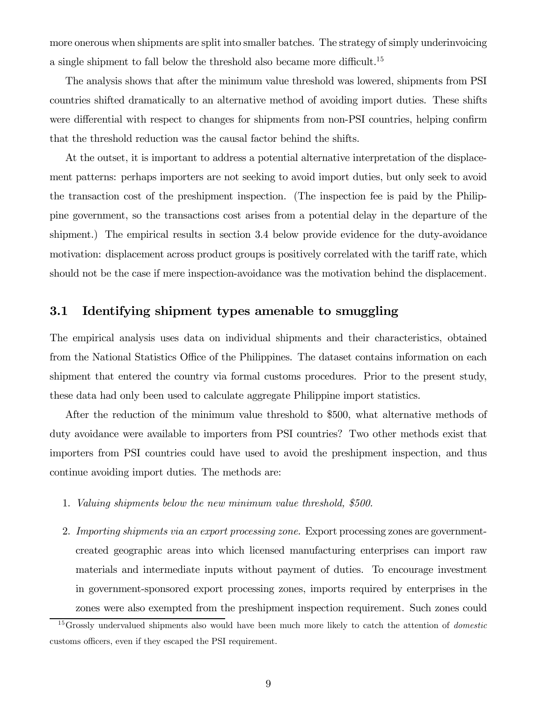more onerous when shipments are split into smaller batches. The strategy of simply underinvoicing a single shipment to fall below the threshold also became more difficult.15

The analysis shows that after the minimum value threshold was lowered, shipments from PSI countries shifted dramatically to an alternative method of avoiding import duties. These shifts were differential with respect to changes for shipments from non-PSI countries, helping confirm that the threshold reduction was the causal factor behind the shifts.

At the outset, it is important to address a potential alternative interpretation of the displacement patterns: perhaps importers are not seeking to avoid import duties, but only seek to avoid the transaction cost of the preshipment inspection. (The inspection fee is paid by the Philippine government, so the transactions cost arises from a potential delay in the departure of the shipment.) The empirical results in section 3.4 below provide evidence for the duty-avoidance motivation: displacement across product groups is positively correlated with the tariff rate, which should not be the case if mere inspection-avoidance was the motivation behind the displacement.

## 3.1 Identifying shipment types amenable to smuggling

The empirical analysis uses data on individual shipments and their characteristics, obtained from the National Statistics Office of the Philippines. The dataset contains information on each shipment that entered the country via formal customs procedures. Prior to the present study, these data had only been used to calculate aggregate Philippine import statistics.

After the reduction of the minimum value threshold to \$500, what alternative methods of duty avoidance were available to importers from PSI countries? Two other methods exist that importers from PSI countries could have used to avoid the preshipment inspection, and thus continue avoiding import duties. The methods are:

- 1. Valuing shipments below the new minimum value threshold, \$500.
- 2. Importing shipments via an export processing zone. Export processing zones are governmentcreated geographic areas into which licensed manufacturing enterprises can import raw materials and intermediate inputs without payment of duties. To encourage investment in government-sponsored export processing zones, imports required by enterprises in the zones were also exempted from the preshipment inspection requirement. Such zones could

<sup>&</sup>lt;sup>15</sup>Grossly undervalued shipments also would have been much more likely to catch the attention of *domestic* customs officers, even if they escaped the PSI requirement.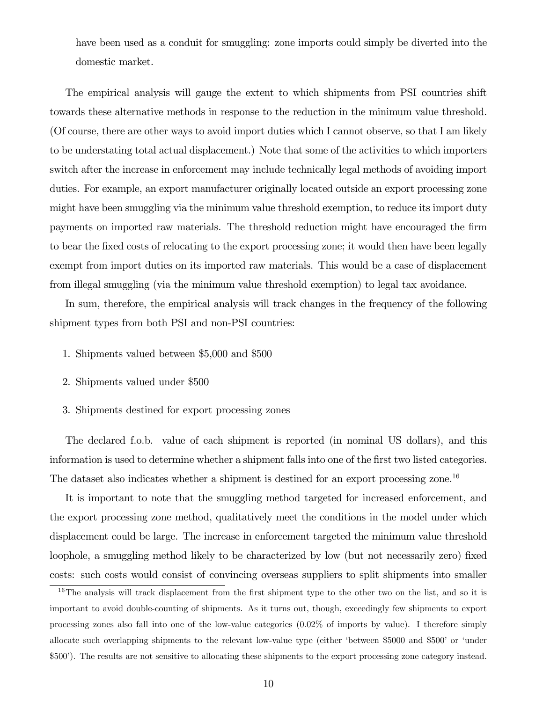have been used as a conduit for smuggling: zone imports could simply be diverted into the domestic market.

The empirical analysis will gauge the extent to which shipments from PSI countries shift towards these alternative methods in response to the reduction in the minimum value threshold. (Of course, there are other ways to avoid import duties which I cannot observe, so that I am likely to be understating total actual displacement.) Note that some of the activities to which importers switch after the increase in enforcement may include technically legal methods of avoiding import duties. For example, an export manufacturer originally located outside an export processing zone might have been smuggling via the minimum value threshold exemption, to reduce its import duty payments on imported raw materials. The threshold reduction might have encouraged the firm to bear the fixed costs of relocating to the export processing zone; it would then have been legally exempt from import duties on its imported raw materials. This would be a case of displacement from illegal smuggling (via the minimum value threshold exemption) to legal tax avoidance.

In sum, therefore, the empirical analysis will track changes in the frequency of the following shipment types from both PSI and non-PSI countries:

- 1. Shipments valued between \$5,000 and \$500
- 2. Shipments valued under \$500
- 3. Shipments destined for export processing zones

The declared f.o.b. value of each shipment is reported (in nominal US dollars), and this information is used to determine whether a shipment falls into one of the first two listed categories. The dataset also indicates whether a shipment is destined for an export processing zone.<sup>16</sup>

It is important to note that the smuggling method targeted for increased enforcement, and the export processing zone method, qualitatively meet the conditions in the model under which displacement could be large. The increase in enforcement targeted the minimum value threshold loophole, a smuggling method likely to be characterized by low (but not necessarily zero) fixed costs: such costs would consist of convincing overseas suppliers to split shipments into smaller

<sup>&</sup>lt;sup>16</sup>The analysis will track displacement from the first shipment type to the other two on the list, and so it is important to avoid double-counting of shipments. As it turns out, though, exceedingly few shipments to export processing zones also fall into one of the low-value categories (0.02% of imports by value). I therefore simply allocate such overlapping shipments to the relevant low-value type (either 'between \$5000 and \$500' or 'under \$500'). The results are not sensitive to allocating these shipments to the export processing zone category instead.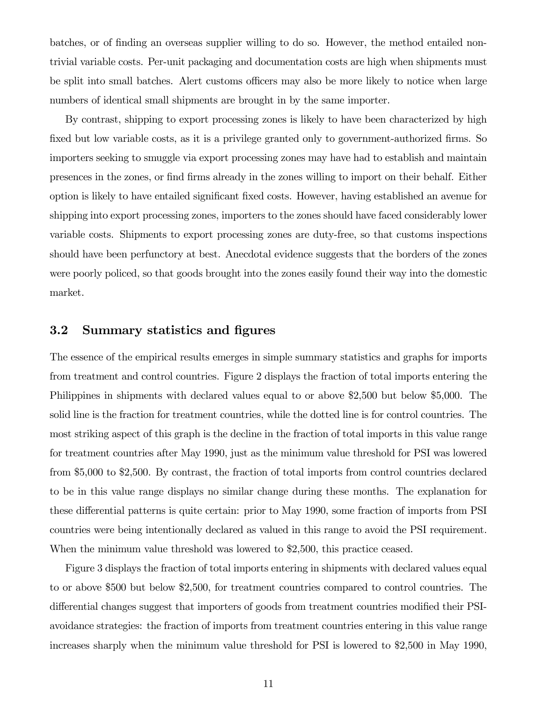batches, or of finding an overseas supplier willing to do so. However, the method entailed nontrivial variable costs. Per-unit packaging and documentation costs are high when shipments must be split into small batches. Alert customs officers may also be more likely to notice when large numbers of identical small shipments are brought in by the same importer.

By contrast, shipping to export processing zones is likely to have been characterized by high fixed but low variable costs, as it is a privilege granted only to government-authorized firms. So importers seeking to smuggle via export processing zones may have had to establish and maintain presences in the zones, or find firms already in the zones willing to import on their behalf. Either option is likely to have entailed significant fixed costs. However, having established an avenue for shipping into export processing zones, importers to the zones should have faced considerably lower variable costs. Shipments to export processing zones are duty-free, so that customs inspections should have been perfunctory at best. Anecdotal evidence suggests that the borders of the zones were poorly policed, so that goods brought into the zones easily found their way into the domestic market.

## 3.2 Summary statistics and figures

The essence of the empirical results emerges in simple summary statistics and graphs for imports from treatment and control countries. Figure 2 displays the fraction of total imports entering the Philippines in shipments with declared values equal to or above \$2,500 but below \$5,000. The solid line is the fraction for treatment countries, while the dotted line is for control countries. The most striking aspect of this graph is the decline in the fraction of total imports in this value range for treatment countries after May 1990, just as the minimum value threshold for PSI was lowered from \$5,000 to \$2,500. By contrast, the fraction of total imports from control countries declared to be in this value range displays no similar change during these months. The explanation for these differential patterns is quite certain: prior to May 1990, some fraction of imports from PSI countries were being intentionally declared as valued in this range to avoid the PSI requirement. When the minimum value threshold was lowered to \$2,500, this practice ceased.

Figure 3 displays the fraction of total imports entering in shipments with declared values equal to or above \$500 but below \$2,500, for treatment countries compared to control countries. The differential changes suggest that importers of goods from treatment countries modified their PSIavoidance strategies: the fraction of imports from treatment countries entering in this value range increases sharply when the minimum value threshold for PSI is lowered to \$2,500 in May 1990,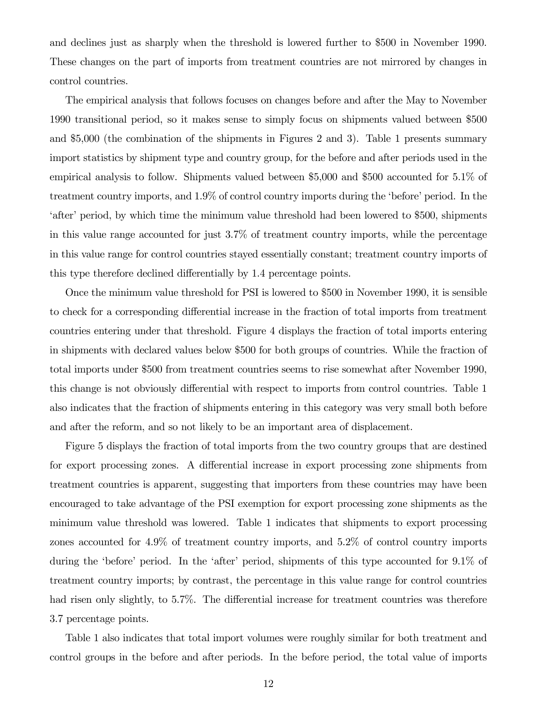and declines just as sharply when the threshold is lowered further to \$500 in November 1990. These changes on the part of imports from treatment countries are not mirrored by changes in control countries.

The empirical analysis that follows focuses on changes before and after the May to November 1990 transitional period, so it makes sense to simply focus on shipments valued between \$500 and \$5,000 (the combination of the shipments in Figures 2 and 3). Table 1 presents summary import statistics by shipment type and country group, for the before and after periods used in the empirical analysis to follow. Shipments valued between \$5,000 and \$500 accounted for 5.1% of treatment country imports, and 1.9% of control country imports during the 'before' period. In the 'after' period, by which time the minimum value threshold had been lowered to \$500, shipments in this value range accounted for just 3.7% of treatment country imports, while the percentage in this value range for control countries stayed essentially constant; treatment country imports of this type therefore declined differentially by 1.4 percentage points.

Once the minimum value threshold for PSI is lowered to \$500 in November 1990, it is sensible to check for a corresponding differential increase in the fraction of total imports from treatment countries entering under that threshold. Figure 4 displays the fraction of total imports entering in shipments with declared values below \$500 for both groups of countries. While the fraction of total imports under \$500 from treatment countries seems to rise somewhat after November 1990, this change is not obviously differential with respect to imports from control countries. Table 1 also indicates that the fraction of shipments entering in this category was very small both before and after the reform, and so not likely to be an important area of displacement.

Figure 5 displays the fraction of total imports from the two country groups that are destined for export processing zones. A differential increase in export processing zone shipments from treatment countries is apparent, suggesting that importers from these countries may have been encouraged to take advantage of the PSI exemption for export processing zone shipments as the minimum value threshold was lowered. Table 1 indicates that shipments to export processing zones accounted for 4.9% of treatment country imports, and 5.2% of control country imports during the 'before' period. In the 'after' period, shipments of this type accounted for 9.1% of treatment country imports; by contrast, the percentage in this value range for control countries had risen only slightly, to 5.7%. The differential increase for treatment countries was therefore 3.7 percentage points.

Table 1 also indicates that total import volumes were roughly similar for both treatment and control groups in the before and after periods. In the before period, the total value of imports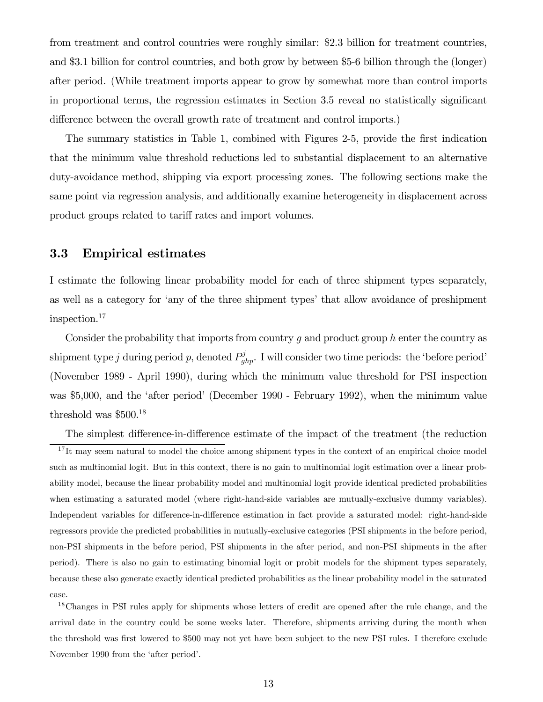from treatment and control countries were roughly similar: \$2.3 billion for treatment countries, and \$3.1 billion for control countries, and both grow by between \$5-6 billion through the (longer) after period. (While treatment imports appear to grow by somewhat more than control imports in proportional terms, the regression estimates in Section 3.5 reveal no statistically significant difference between the overall growth rate of treatment and control imports.)

The summary statistics in Table 1, combined with Figures 2-5, provide the first indication that the minimum value threshold reductions led to substantial displacement to an alternative duty-avoidance method, shipping via export processing zones. The following sections make the same point via regression analysis, and additionally examine heterogeneity in displacement across product groups related to tariff rates and import volumes.

## 3.3 Empirical estimates

I estimate the following linear probability model for each of three shipment types separately, as well as a category for 'any of the three shipment types' that allow avoidance of preshipment inspection.17

Consider the probability that imports from country g and product group h enter the country as shipment type j during period p, denoted  $P_{ghp}^j$ . I will consider two time periods: the 'before period' (November 1989 - April 1990), during which the minimum value threshold for PSI inspection was \$5,000, and the 'after period' (December 1990 - February 1992), when the minimum value threshold was \$500.18

The simplest difference-in-difference estimate of the impact of the treatment (the reduction <sup>17</sup>It may seem natural to model the choice among shipment types in the context of an empirical choice model such as multinomial logit. But in this context, there is no gain to multinomial logit estimation over a linear probability model, because the linear probability model and multinomial logit provide identical predicted probabilities when estimating a saturated model (where right-hand-side variables are mutually-exclusive dummy variables). Independent variables for difference-in-difference estimation in fact provide a saturated model: right-hand-side regressors provide the predicted probabilities in mutually-exclusive categories (PSI shipments in the before period, non-PSI shipments in the before period, PSI shipments in the after period, and non-PSI shipments in the after period). There is also no gain to estimating binomial logit or probit models for the shipment types separately, because these also generate exactly identical predicted probabilities as the linear probability model in the saturated case.

<sup>18</sup>Changes in PSI rules apply for shipments whose letters of credit are opened after the rule change, and the arrival date in the country could be some weeks later. Therefore, shipments arriving during the month when the threshold was first lowered to \$500 may not yet have been subject to the new PSI rules. I therefore exclude November 1990 from the 'after period'.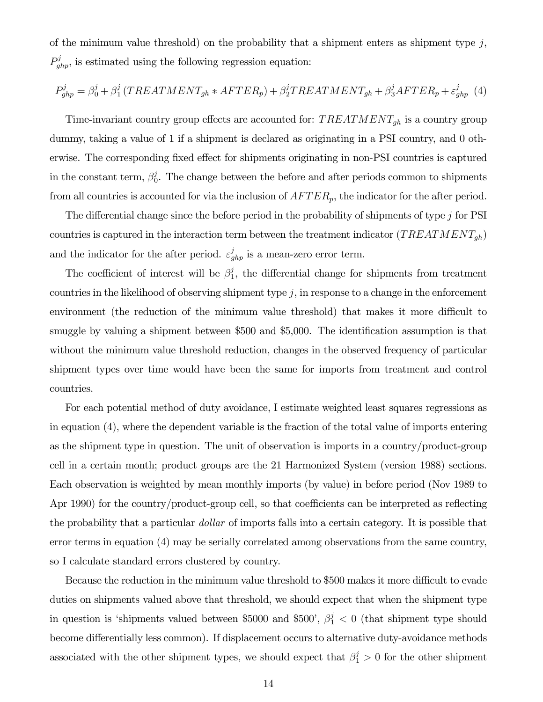of the minimum value threshold) on the probability that a shipment enters as shipment type  $j$ ,  $P_{ghp}^j$ , is estimated using the following regression equation:

$$
P_{ghp}^{j} = \beta_0^{j} + \beta_1^{j} \left( TREATMENT_{gh} * AFTER_p \right) + \beta_2^{j} TREATMENT_{gh} + \beta_3^{j} AFTER_p + \varepsilon_{ghp}^{j} \tag{4}
$$

Time-invariant country group effects are accounted for:  $TREATMENT_{gh}$  is a country group dummy, taking a value of 1 if a shipment is declared as originating in a PSI country, and 0 otherwise. The corresponding fixed effect for shipments originating in non-PSI countries is captured in the constant term,  $\beta_0^j$ . The change between the before and after periods common to shipments from all countries is accounted for via the inclusion of  $AFTER_p$ , the indicator for the after period.

The differential change since the before period in the probability of shipments of type  $j$  for PSI countries is captured in the interaction term between the treatment indicator  $(TREATMENT_{gh})$ and the indicator for the after period.  $\varepsilon_{ghp}^j$  is a mean-zero error term.

The coefficient of interest will be  $\beta_1^j$ , the differential change for shipments from treatment countries in the likelihood of observing shipment type  $j$ , in response to a change in the enforcement environment (the reduction of the minimum value threshold) that makes it more difficult to smuggle by valuing a shipment between \$500 and \$5,000. The identification assumption is that without the minimum value threshold reduction, changes in the observed frequency of particular shipment types over time would have been the same for imports from treatment and control countries.

For each potential method of duty avoidance, I estimate weighted least squares regressions as in equation (4), where the dependent variable is the fraction of the total value of imports entering as the shipment type in question. The unit of observation is imports in a country/product-group cell in a certain month; product groups are the 21 Harmonized System (version 1988) sections. Each observation is weighted by mean monthly imports (by value) in before period (Nov 1989 to Apr 1990) for the country/product-group cell, so that coefficients can be interpreted as reflecting the probability that a particular dollar of imports falls into a certain category. It is possible that error terms in equation (4) may be serially correlated among observations from the same country, so I calculate standard errors clustered by country.

Because the reduction in the minimum value threshold to \$500 makes it more difficult to evade duties on shipments valued above that threshold, we should expect that when the shipment type in question is 'shipments valued between \$5000 and \$500',  $\beta_1^j$  < 0 (that shipment type should become differentially less common). If displacement occurs to alternative duty-avoidance methods associated with the other shipment types, we should expect that  $\beta_1^j > 0$  for the other shipment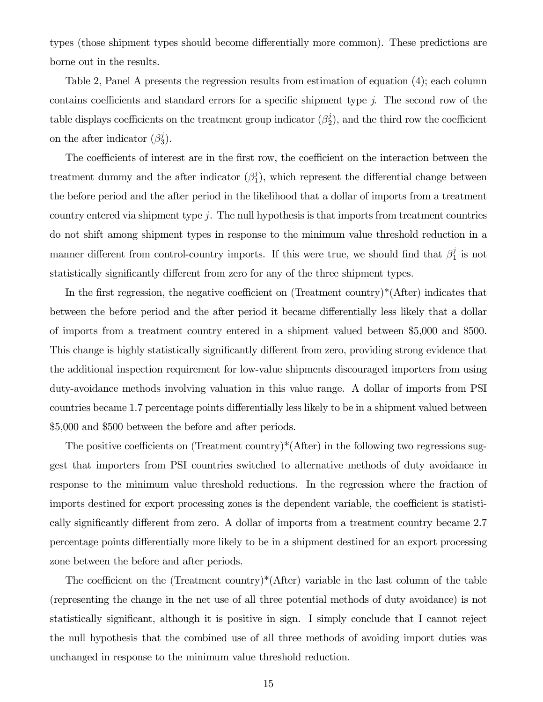types (those shipment types should become differentially more common). These predictions are borne out in the results.

Table 2, Panel A presents the regression results from estimation of equation (4); each column contains coefficients and standard errors for a specific shipment type j. The second row of the table displays coefficients on the treatment group indicator  $(\beta_2^j)$ , and the third row the coefficient on the after indicator  $(\beta_3^j)$ .

The coefficients of interest are in the first row, the coefficient on the interaction between the treatment dummy and the after indicator  $(\beta_1^j)$ , which represent the differential change between the before period and the after period in the likelihood that a dollar of imports from a treatment country entered via shipment type  $j$ . The null hypothesis is that imports from treatment countries do not shift among shipment types in response to the minimum value threshold reduction in a manner different from control-country imports. If this were true, we should find that  $\beta_1^j$  is not statistically significantly different from zero for any of the three shipment types.

In the first regression, the negative coefficient on (Treatment country)\*(After) indicates that between the before period and the after period it became differentially less likely that a dollar of imports from a treatment country entered in a shipment valued between \$5,000 and \$500. This change is highly statistically significantly different from zero, providing strong evidence that the additional inspection requirement for low-value shipments discouraged importers from using duty-avoidance methods involving valuation in this value range. A dollar of imports from PSI countries became 1.7 percentage points differentially less likely to be in a shipment valued between \$5,000 and \$500 between the before and after periods.

The positive coefficients on (Treatment country)<sup>\*</sup>(After) in the following two regressions suggest that importers from PSI countries switched to alternative methods of duty avoidance in response to the minimum value threshold reductions. In the regression where the fraction of imports destined for export processing zones is the dependent variable, the coefficient is statistically significantly different from zero. A dollar of imports from a treatment country became 2.7 percentage points differentially more likely to be in a shipment destined for an export processing zone between the before and after periods.

The coefficient on the (Treatment country)\*(After) variable in the last column of the table (representing the change in the net use of all three potential methods of duty avoidance) is not statistically significant, although it is positive in sign. I simply conclude that I cannot reject the null hypothesis that the combined use of all three methods of avoiding import duties was unchanged in response to the minimum value threshold reduction.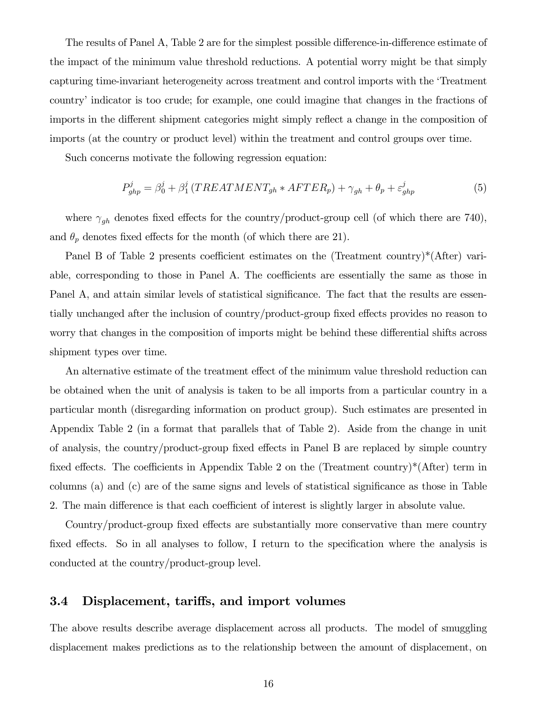The results of Panel A, Table 2 are for the simplest possible difference-in-difference estimate of the impact of the minimum value threshold reductions. A potential worry might be that simply capturing time-invariant heterogeneity across treatment and control imports with the 'Treatment country' indicator is too crude; for example, one could imagine that changes in the fractions of imports in the different shipment categories might simply reflect a change in the composition of imports (at the country or product level) within the treatment and control groups over time.

Such concerns motivate the following regression equation:

$$
P_{ghp}^j = \beta_0^j + \beta_1^j \left( TREATMENT_{gh} * AFTER_p \right) + \gamma_{gh} + \theta_p + \varepsilon_{ghp}^j \tag{5}
$$

where  $\gamma_{gh}$  denotes fixed effects for the country/product-group cell (of which there are 740), and  $\theta_p$  denotes fixed effects for the month (of which there are 21).

Panel B of Table 2 presents coefficient estimates on the (Treatment country)\*(After) variable, corresponding to those in Panel A. The coefficients are essentially the same as those in Panel A, and attain similar levels of statistical significance. The fact that the results are essentially unchanged after the inclusion of country/product-group fixed effects provides no reason to worry that changes in the composition of imports might be behind these differential shifts across shipment types over time.

An alternative estimate of the treatment effect of the minimum value threshold reduction can be obtained when the unit of analysis is taken to be all imports from a particular country in a particular month (disregarding information on product group). Such estimates are presented in Appendix Table 2 (in a format that parallels that of Table 2). Aside from the change in unit of analysis, the country/product-group fixed effects in Panel B are replaced by simple country fixed effects. The coefficients in Appendix Table 2 on the (Treatment country)<sup>\*</sup>(After) term in columns (a) and (c) are of the same signs and levels of statistical significance as those in Table 2. The main difference is that each coefficient of interest is slightly larger in absolute value.

Country/product-group fixed effects are substantially more conservative than mere country fixed effects. So in all analyses to follow, I return to the specification where the analysis is conducted at the country/product-group level.

### 3.4 Displacement, tariffs, and import volumes

The above results describe average displacement across all products. The model of smuggling displacement makes predictions as to the relationship between the amount of displacement, on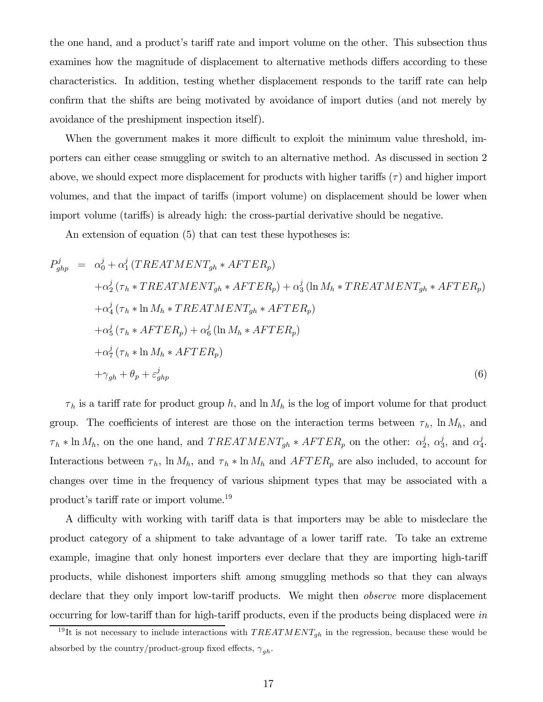the one hand, and a product's tariff rate and import volume on the other. This subsection thus examines how the magnitude of displacement to alternative methods differs according to these characteristics. In addition, testing whether displacement responds to the tariff rate can help confirm that the shifts are being motivated by avoidance of import duties (and not merely by avoidance of the preshipment inspection itself).

When the government makes it more difficult to exploit the minimum value threshold, importers can either cease smuggling or switch to an alternative method. As discussed in section 2 above, we should expect more displacement for products with higher tariffs  $(\tau)$  and higher import volumes, and that the impact of tariffs (import volume) on displacement should be lower when import volume (tariffs) is already high: the cross-partial derivative should be negative.

An extension of equation  $(5)$  that can test these hypotheses is:

$$
P_{ghp}^{j} = \alpha_{0}^{j} + \alpha_{1}^{j} (TREATMENT_{gh} * AFTER_{p})
$$
  
\n
$$
+ \alpha_{2}^{j} (\tau_{h} * TREATMENT_{gh} * AFTER_{p}) + \alpha_{3}^{j} (\ln M_{h} * TREATMENT_{gh} * AFTER_{p})
$$
  
\n
$$
+ \alpha_{4}^{j} (\tau_{h} * \ln M_{h} * TREATMENT_{gh} * AFTER_{p})
$$
  
\n
$$
+ \alpha_{5}^{j} (\tau_{h} * AFTER_{p}) + \alpha_{6}^{j} (\ln M_{h} * AFTER_{p})
$$
  
\n
$$
+ \alpha_{7}^{j} (\tau_{h} * \ln M_{h} * AFTER_{p})
$$
  
\n
$$
+ \gamma_{gh} + \theta_{p} + \varepsilon_{ghp}^{j}
$$
  
\n(6)

 $\tau_h$  is a tariff rate for product group h, and  $\ln M_h$  is the log of import volume for that product group. The coefficients of interest are those on the interaction terms between  $\tau_h$ ,  $\ln M_h$ , and  $\tau_h * \ln M_h$ , on the one hand, and  $TREATMENT_{gh} * AFTER_p$  on the other:  $\alpha_2^j$ ,  $\alpha_3^j$ , and  $\alpha_4^j$ . Interactions between  $\tau_h$ , ln  $M_h$ , and  $\tau_h * \ln M_h$  and  $AFTER_p$  are also included, to account for changes over time in the frequency of various shipment types that may be associated with a product's tariff rate or import volume.19

A difficulty with working with tariff data is that importers may be able to misdeclare the product category of a shipment to take advantage of a lower tariff rate. To take an extreme example, imagine that only honest importers ever declare that they are importing high-tariff products, while dishonest importers shift among smuggling methods so that they can always declare that they only import low-tariff products. We might then *observe* more displacement occurring for low-tariff than for high-tariff products, even if the products being displaced were in

<sup>&</sup>lt;sup>19</sup>It is not necessary to include interactions with  $TREATMENT_{gh}$  in the regression, because these would be absorbed by the country/product-group fixed effects,  $\gamma_{gh}$ .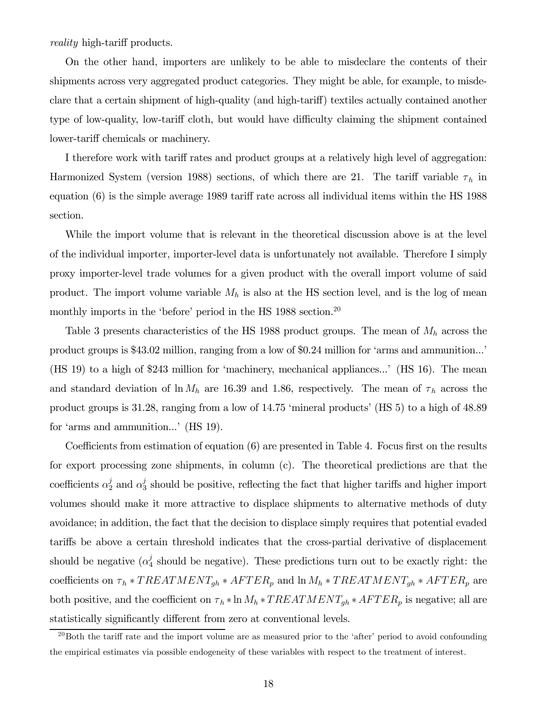reality high-tariff products.

On the other hand, importers are unlikely to be able to misdeclare the contents of their shipments across very aggregated product categories. They might be able, for example, to misdeclare that a certain shipment of high-quality (and high-tariff) textiles actually contained another type of low-quality, low-tariff cloth, but would have difficulty claiming the shipment contained lower-tariff chemicals or machinery.

I therefore work with tariff rates and product groups at a relatively high level of aggregation: Harmonized System (version 1988) sections, of which there are 21. The tariff variable  $\tau_h$  in equation (6) is the simple average 1989 tariff rate across all individual items within the HS 1988 section.

While the import volume that is relevant in the theoretical discussion above is at the level of the individual importer, importer-level data is unfortunately not available. Therefore I simply proxy importer-level trade volumes for a given product with the overall import volume of said product. The import volume variable  $M_h$  is also at the HS section level, and is the log of mean monthly imports in the 'before' period in the HS 1988 section.<sup>20</sup>

Table 3 presents characteristics of the HS 1988 product groups. The mean of  $M_h$  across the product groups is \$43.02 million, ranging from a low of \$0.24 million for 'arms and ammunition...' (HS 19) to a high of \$243 million for 'machinery, mechanical appliances...' (HS 16). The mean and standard deviation of  $\ln M_h$  are 16.39 and 1.86, respectively. The mean of  $\tau_h$  across the product groups is 31.28, ranging from a low of 14.75 'mineral products' (HS 5) to a high of 48.89 for 'arms and ammunition...' (HS 19).

Coefficients from estimation of equation (6) are presented in Table 4. Focus first on the results for export processing zone shipments, in column (c). The theoretical predictions are that the coefficients  $\alpha_2^j$  and  $\alpha_3^j$  should be positive, reflecting the fact that higher tariffs and higher import volumes should make it more attractive to displace shipments to alternative methods of duty avoidance; in addition, the fact that the decision to displace simply requires that potential evaded tariffs be above a certain threshold indicates that the cross-partial derivative of displacement should be negative  $(\alpha_4^j$  should be negative). These predictions turn out to be exactly right: the coefficients on  $\tau_h * TREATMENT_{gh} * AFTER_p$  and  $\ln M_h * TREATMENT_{gh} * AFTER_p$  are both positive, and the coefficient on  $\tau_h * \ln M_h * TREATMENT_{gh} * AFTER_p$  is negative; all are statistically significantly different from zero at conventional levels.

<sup>&</sup>lt;sup>20</sup>Both the tariff rate and the import volume are as measured prior to the 'after' period to avoid confounding the empirical estimates via possible endogeneity of these variables with respect to the treatment of interest.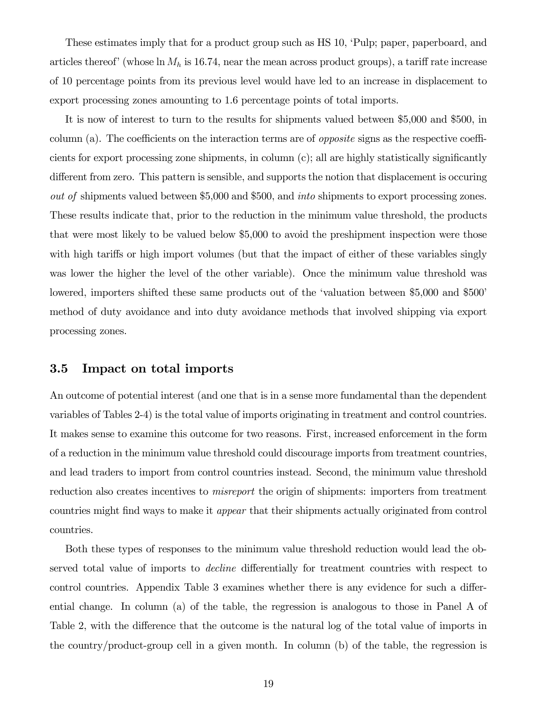These estimates imply that for a product group such as HS 10, 'Pulp; paper, paperboard, and articles thereof' (whose  $\ln M_h$  is 16.74, near the mean across product groups), a tariff rate increase of 10 percentage points from its previous level would have led to an increase in displacement to export processing zones amounting to 1.6 percentage points of total imports.

It is now of interest to turn to the results for shipments valued between \$5,000 and \$500, in column (a). The coefficients on the interaction terms are of *opposite* signs as the respective coefficients for export processing zone shipments, in column (c); all are highly statistically significantly different from zero. This pattern is sensible, and supports the notion that displacement is occuring out of shipments valued between \$5,000 and \$500, and *into* shipments to export processing zones. These results indicate that, prior to the reduction in the minimum value threshold, the products that were most likely to be valued below \$5,000 to avoid the preshipment inspection were those with high tariffs or high import volumes (but that the impact of either of these variables singly was lower the higher the level of the other variable). Once the minimum value threshold was lowered, importers shifted these same products out of the 'valuation between \$5,000 and \$500' method of duty avoidance and into duty avoidance methods that involved shipping via export processing zones.

### 3.5 Impact on total imports

An outcome of potential interest (and one that is in a sense more fundamental than the dependent variables of Tables 2-4) is the total value of imports originating in treatment and control countries. It makes sense to examine this outcome for two reasons. First, increased enforcement in the form of a reduction in the minimum value threshold could discourage imports from treatment countries, and lead traders to import from control countries instead. Second, the minimum value threshold reduction also creates incentives to *misreport* the origin of shipments: importers from treatment countries might find ways to make it appear that their shipments actually originated from control countries.

Both these types of responses to the minimum value threshold reduction would lead the observed total value of imports to decline differentially for treatment countries with respect to control countries. Appendix Table 3 examines whether there is any evidence for such a differential change. In column (a) of the table, the regression is analogous to those in Panel A of Table 2, with the difference that the outcome is the natural log of the total value of imports in the country/product-group cell in a given month. In column (b) of the table, the regression is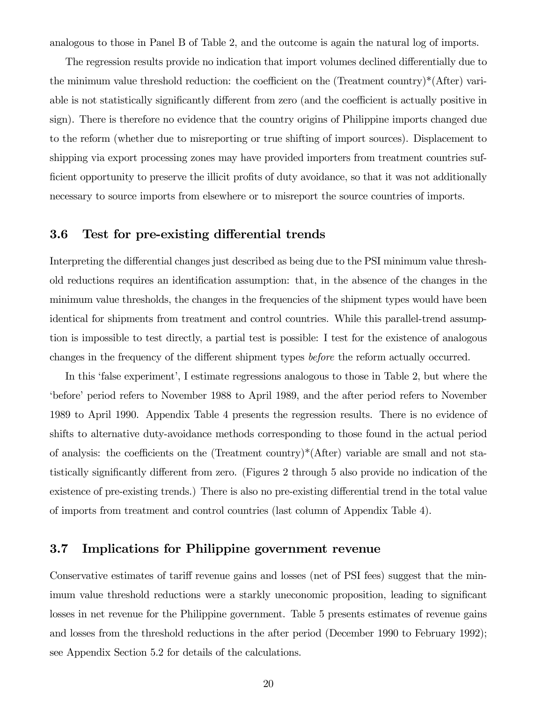analogous to those in Panel B of Table 2, and the outcome is again the natural log of imports.

The regression results provide no indication that import volumes declined differentially due to the minimum value threshold reduction: the coefficient on the  $(Teatement~country)*(After)$  variable is not statistically significantly different from zero (and the coefficient is actually positive in sign). There is therefore no evidence that the country origins of Philippine imports changed due to the reform (whether due to misreporting or true shifting of import sources). Displacement to shipping via export processing zones may have provided importers from treatment countries sufficient opportunity to preserve the illicit profits of duty avoidance, so that it was not additionally necessary to source imports from elsewhere or to misreport the source countries of imports.

### 3.6 Test for pre-existing differential trends

Interpreting the differential changes just described as being due to the PSI minimum value threshold reductions requires an identification assumption: that, in the absence of the changes in the minimum value thresholds, the changes in the frequencies of the shipment types would have been identical for shipments from treatment and control countries. While this parallel-trend assumption is impossible to test directly, a partial test is possible: I test for the existence of analogous changes in the frequency of the different shipment types before the reform actually occurred.

In this 'false experiment', I estimate regressions analogous to those in Table 2, but where the 'before' period refers to November 1988 to April 1989, and the after period refers to November 1989 to April 1990. Appendix Table 4 presents the regression results. There is no evidence of shifts to alternative duty-avoidance methods corresponding to those found in the actual period of analysis: the coefficients on the (Treatment country)\*( $After$ ) variable are small and not statistically significantly different from zero. (Figures 2 through 5 also provide no indication of the existence of pre-existing trends.) There is also no pre-existing differential trend in the total value of imports from treatment and control countries (last column of Appendix Table 4).

## 3.7 Implications for Philippine government revenue

Conservative estimates of tariff revenue gains and losses (net of PSI fees) suggest that the minimum value threshold reductions were a starkly uneconomic proposition, leading to significant losses in net revenue for the Philippine government. Table 5 presents estimates of revenue gains and losses from the threshold reductions in the after period (December 1990 to February 1992); see Appendix Section 5.2 for details of the calculations.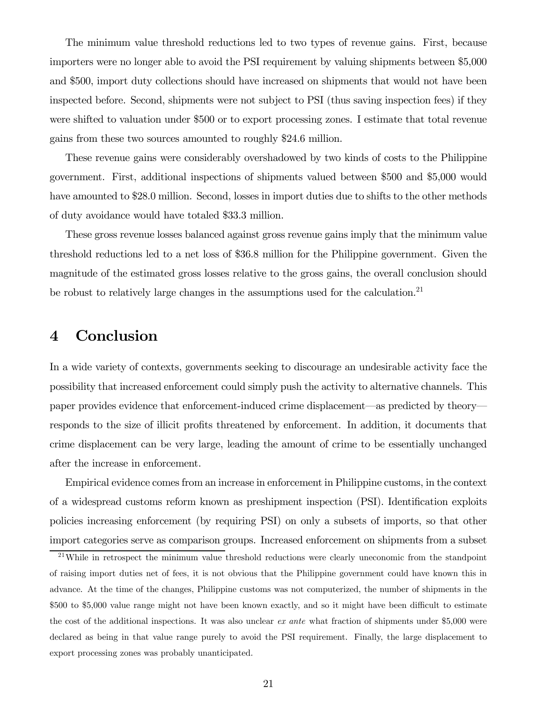The minimum value threshold reductions led to two types of revenue gains. First, because importers were no longer able to avoid the PSI requirement by valuing shipments between \$5,000 and \$500, import duty collections should have increased on shipments that would not have been inspected before. Second, shipments were not subject to PSI (thus saving inspection fees) if they were shifted to valuation under \$500 or to export processing zones. I estimate that total revenue gains from these two sources amounted to roughly \$24.6 million.

These revenue gains were considerably overshadowed by two kinds of costs to the Philippine government. First, additional inspections of shipments valued between \$500 and \$5,000 would have amounted to \$28.0 million. Second, losses in import duties due to shifts to the other methods of duty avoidance would have totaled \$33.3 million.

These gross revenue losses balanced against gross revenue gains imply that the minimum value threshold reductions led to a net loss of \$36.8 million for the Philippine government. Given the magnitude of the estimated gross losses relative to the gross gains, the overall conclusion should be robust to relatively large changes in the assumptions used for the calculation.<sup>21</sup>

## 4 Conclusion

In a wide variety of contexts, governments seeking to discourage an undesirable activity face the possibility that increased enforcement could simply push the activity to alternative channels. This paper provides evidence that enforcement-induced crime displacement–as predicted by theory– responds to the size of illicit profits threatened by enforcement. In addition, it documents that crime displacement can be very large, leading the amount of crime to be essentially unchanged after the increase in enforcement.

Empirical evidence comes from an increase in enforcement in Philippine customs, in the context of a widespread customs reform known as preshipment inspection (PSI). Identification exploits policies increasing enforcement (by requiring PSI) on only a subsets of imports, so that other import categories serve as comparison groups. Increased enforcement on shipments from a subset

<sup>&</sup>lt;sup>21</sup>While in retrospect the minimum value threshold reductions were clearly uneconomic from the standpoint of raising import duties net of fees, it is not obvious that the Philippine government could have known this in advance. At the time of the changes, Philippine customs was not computerized, the number of shipments in the \$500 to \$5,000 value range might not have been known exactly, and so it might have been difficult to estimate the cost of the additional inspections. It was also unclear ex ante what fraction of shipments under \$5,000 were declared as being in that value range purely to avoid the PSI requirement. Finally, the large displacement to export processing zones was probably unanticipated.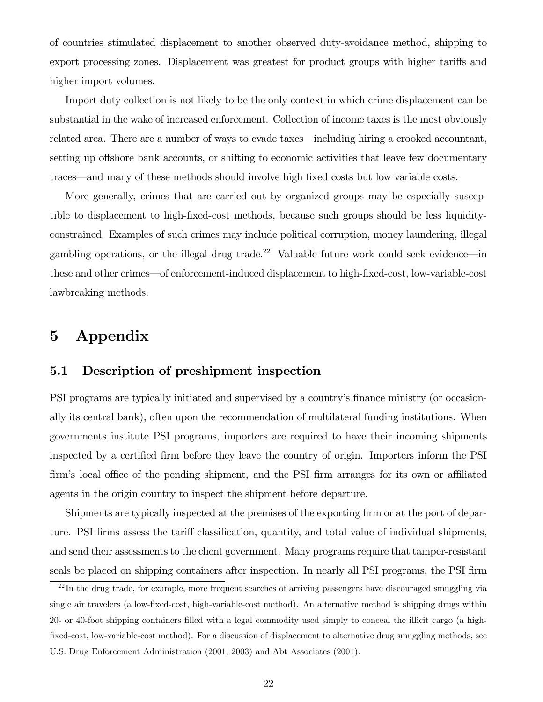of countries stimulated displacement to another observed duty-avoidance method, shipping to export processing zones. Displacement was greatest for product groups with higher tariffs and higher import volumes.

Import duty collection is not likely to be the only context in which crime displacement can be substantial in the wake of increased enforcement. Collection of income taxes is the most obviously related area. There are a number of ways to evade taxes–including hiring a crooked accountant, setting up offshore bank accounts, or shifting to economic activities that leave few documentary traces–and many of these methods should involve high fixed costs but low variable costs.

More generally, crimes that are carried out by organized groups may be especially susceptible to displacement to high-fixed-cost methods, because such groups should be less liquidityconstrained. Examples of such crimes may include political corruption, money laundering, illegal gambling operations, or the illegal drug trade.<sup>22</sup> Valuable future work could seek evidence—in these and other crimes–of enforcement-induced displacement to high-fixed-cost, low-variable-cost lawbreaking methods.

## 5 Appendix

## 5.1 Description of preshipment inspection

PSI programs are typically initiated and supervised by a country's finance ministry (or occasionally its central bank), often upon the recommendation of multilateral funding institutions. When governments institute PSI programs, importers are required to have their incoming shipments inspected by a certified firm before they leave the country of origin. Importers inform the PSI firm's local office of the pending shipment, and the PSI firm arranges for its own or affiliated agents in the origin country to inspect the shipment before departure.

Shipments are typically inspected at the premises of the exporting firm or at the port of departure. PSI firms assess the tariff classification, quantity, and total value of individual shipments, and send their assessments to the client government. Many programs require that tamper-resistant seals be placed on shipping containers after inspection. In nearly all PSI programs, the PSI firm

 $^{22}$ In the drug trade, for example, more frequent searches of arriving passengers have discouraged smuggling via single air travelers (a low-fixed-cost, high-variable-cost method). An alternative method is shipping drugs within 20- or 40-foot shipping containers filled with a legal commodity used simply to conceal the illicit cargo (a highfixed-cost, low-variable-cost method). For a discussion of displacement to alternative drug smuggling methods, see U.S. Drug Enforcement Administration (2001, 2003) and Abt Associates (2001).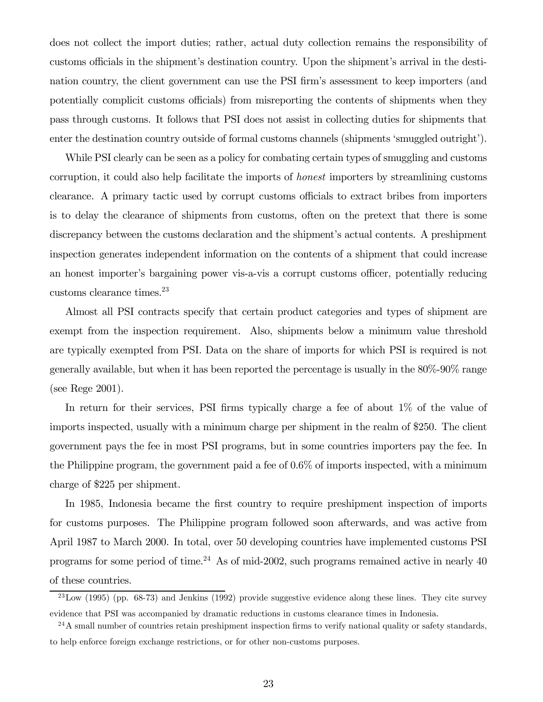does not collect the import duties; rather, actual duty collection remains the responsibility of customs officials in the shipment's destination country. Upon the shipment's arrival in the destination country, the client government can use the PSI firm's assessment to keep importers (and potentially complicit customs officials) from misreporting the contents of shipments when they pass through customs. It follows that PSI does not assist in collecting duties for shipments that enter the destination country outside of formal customs channels (shipments 'smuggled outright').

While PSI clearly can be seen as a policy for combating certain types of smuggling and customs corruption, it could also help facilitate the imports of honest importers by streamlining customs clearance. A primary tactic used by corrupt customs officials to extract bribes from importers is to delay the clearance of shipments from customs, often on the pretext that there is some discrepancy between the customs declaration and the shipment's actual contents. A preshipment inspection generates independent information on the contents of a shipment that could increase an honest importer's bargaining power vis-a-vis a corrupt customs officer, potentially reducing customs clearance times.23

Almost all PSI contracts specify that certain product categories and types of shipment are exempt from the inspection requirement. Also, shipments below a minimum value threshold are typically exempted from PSI. Data on the share of imports for which PSI is required is not generally available, but when it has been reported the percentage is usually in the 80%-90% range (see Rege 2001).

In return for their services, PSI firms typically charge a fee of about 1% of the value of imports inspected, usually with a minimum charge per shipment in the realm of \$250. The client government pays the fee in most PSI programs, but in some countries importers pay the fee. In the Philippine program, the government paid a fee of 0.6% of imports inspected, with a minimum charge of \$225 per shipment.

In 1985, Indonesia became the first country to require preshipment inspection of imports for customs purposes. The Philippine program followed soon afterwards, and was active from April 1987 to March 2000. In total, over 50 developing countries have implemented customs PSI programs for some period of time.<sup>24</sup> As of mid-2002, such programs remained active in nearly  $40$ of these countries.

 $^{23}$ Low (1995) (pp. 68-73) and Jenkins (1992) provide suggestive evidence along these lines. They cite survey evidence that PSI was accompanied by dramatic reductions in customs clearance times in Indonesia.

 $^{24}$ A small number of countries retain preshipment inspection firms to verify national quality or safety standards, to help enforce foreign exchange restrictions, or for other non-customs purposes.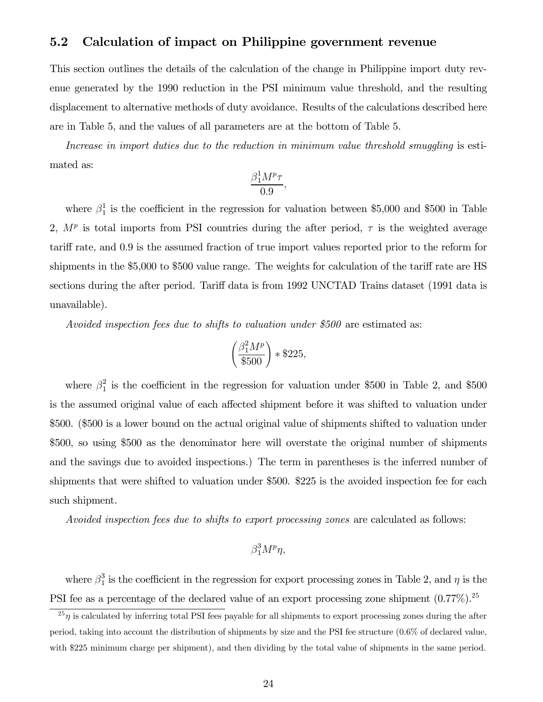## 5.2 Calculation of impact on Philippine government revenue

This section outlines the details of the calculation of the change in Philippine import duty revenue generated by the 1990 reduction in the PSI minimum value threshold, and the resulting displacement to alternative methods of duty avoidance. Results of the calculations described here are in Table 5, and the values of all parameters are at the bottom of Table 5.

Increase in import duties due to the reduction in minimum value threshold smuggling is estimated as:

$$
\frac{\beta_1^1 M^p \tau}{0.9},
$$

where  $\beta_1^1$  is the coefficient in the regression for valuation between \$5,000 and \$500 in Table 2,  $M^p$  is total imports from PSI countries during the after period,  $\tau$  is the weighted average tariff rate, and 0.9 is the assumed fraction of true import values reported prior to the reform for shipments in the \$5,000 to \$500 value range. The weights for calculation of the tariff rate are HS sections during the after period. Tariff data is from 1992 UNCTAD Trains dataset (1991 data is unavailable).

Avoided inspection fees due to shifts to valuation under \$500 are estimated as:

$$
\left(\frac{\beta_1^2M^p}{\$500}\right)*\$225,
$$

where  $\beta_1^2$  is the coefficient in the regression for valuation under \$500 in Table 2, and \$500 is the assumed original value of each affected shipment before it was shifted to valuation under \$500. (\$500 is a lower bound on the actual original value of shipments shifted to valuation under \$500, so using \$500 as the denominator here will overstate the original number of shipments and the savings due to avoided inspections.) The term in parentheses is the inferred number of shipments that were shifted to valuation under \$500. \$225 is the avoided inspection fee for each such shipment.

Avoided inspection fees due to shifts to export processing zones are calculated as follows:

$$
\beta_1^3 M^p \eta,
$$

where  $\beta_1^3$  is the coefficient in the regression for export processing zones in Table 2, and  $\eta$  is the PSI fee as a percentage of the declared value of an export processing zone shipment  $(0.77\%)$ .<sup>25</sup>

 $^{25}\eta$  is calculated by inferring total PSI fees payable for all shipments to export processing zones during the after period, taking into account the distribution of shipments by size and the PSI fee structure (0.6% of declared value, with \$225 minimum charge per shipment), and then dividing by the total value of shipments in the same period.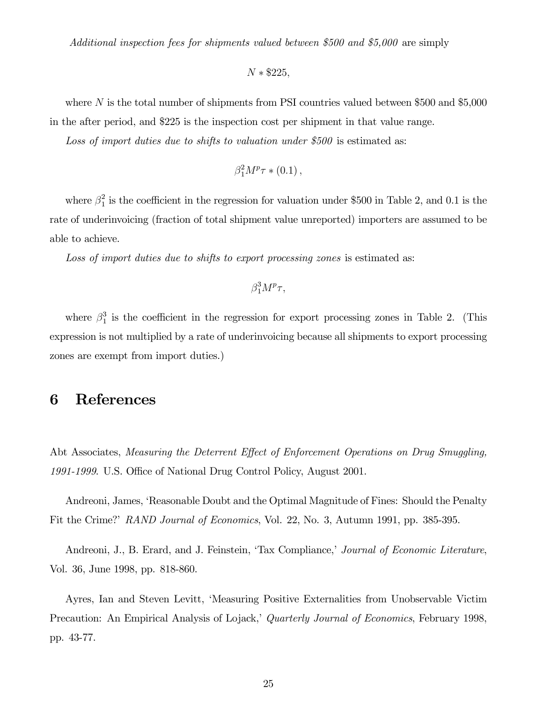Additional inspection fees for shipments valued between \$500 and \$5,000 are simply

 $N * $225,$ 

where  $N$  is the total number of shipments from PSI countries valued between \$500 and \$5,000 in the after period, and \$225 is the inspection cost per shipment in that value range.

Loss of import duties due to shifts to valuation under \$500 is estimated as:

$$
\beta_1^2 M^p \tau * (0.1) \,,
$$

where  $\beta_1^2$  is the coefficient in the regression for valuation under \$500 in Table 2, and 0.1 is the rate of underinvoicing (fraction of total shipment value unreported) importers are assumed to be able to achieve.

Loss of import duties due to shifts to export processing zones is estimated as:

$$
\beta_1^3 M^p \tau,
$$

where  $\beta_1^3$  is the coefficient in the regression for export processing zones in Table 2. (This expression is not multiplied by a rate of underinvoicing because all shipments to export processing zones are exempt from import duties.)

## 6 References

Abt Associates, Measuring the Deterrent Effect of Enforcement Operations on Drug Smuggling, 1991-1999. U.S. Office of National Drug Control Policy, August 2001.

Andreoni, James, 'Reasonable Doubt and the Optimal Magnitude of Fines: Should the Penalty Fit the Crime?' RAND Journal of Economics, Vol. 22, No. 3, Autumn 1991, pp. 385-395.

Andreoni, J., B. Erard, and J. Feinstein, 'Tax Compliance,' Journal of Economic Literature, Vol. 36, June 1998, pp. 818-860.

Ayres, Ian and Steven Levitt, 'Measuring Positive Externalities from Unobservable Victim Precaution: An Empirical Analysis of Lojack,' Quarterly Journal of Economics, February 1998, pp. 43-77.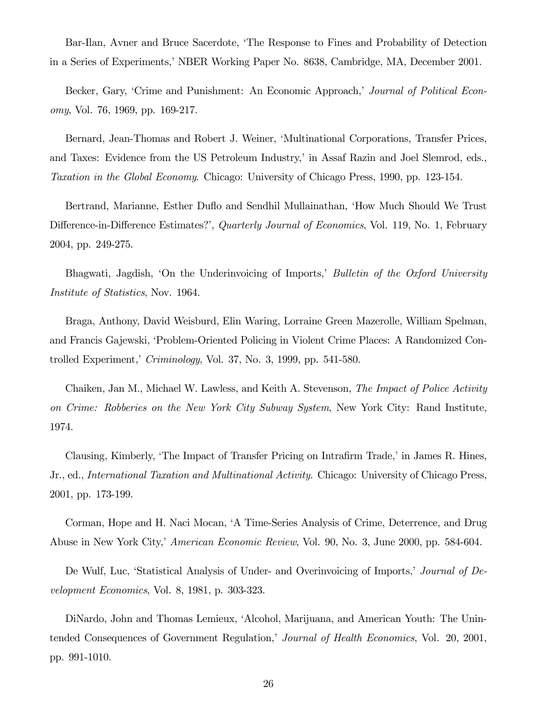Bar-Ilan, Avner and Bruce Sacerdote, 'The Response to Fines and Probability of Detection in a Series of Experiments,' NBER Working Paper No. 8638, Cambridge, MA, December 2001.

Becker, Gary, 'Crime and Punishment: An Economic Approach,' Journal of Political Economy, Vol. 76, 1969, pp. 169-217.

Bernard, Jean-Thomas and Robert J. Weiner, 'Multinational Corporations, Transfer Prices, and Taxes: Evidence from the US Petroleum Industry,' in Assaf Razin and Joel Slemrod, eds., Taxation in the Global Economy. Chicago: University of Chicago Press, 1990, pp. 123-154.

Bertrand, Marianne, Esther Duflo and Sendhil Mullainathan, 'How Much Should We Trust Difference-in-Difference Estimates?', Quarterly Journal of Economics, Vol. 119, No. 1, February 2004, pp. 249-275.

Bhagwati, Jagdish, 'On the Underinvoicing of Imports,' Bulletin of the Oxford University Institute of Statistics, Nov. 1964.

Braga, Anthony, David Weisburd, Elin Waring, Lorraine Green Mazerolle, William Spelman, and Francis Gajewski, 'Problem-Oriented Policing in Violent Crime Places: A Randomized Controlled Experiment,' Criminology, Vol. 37, No. 3, 1999, pp. 541-580.

Chaiken, Jan M., Michael W. Lawless, and Keith A. Stevenson, The Impact of Police Activity on Crime: Robberies on the New York City Subway System, New York City: Rand Institute, 1974.

Clausing, Kimberly, 'The Impact of Transfer Pricing on Intrafirm Trade,' in James R. Hines, Jr., ed., International Taxation and Multinational Activity. Chicago: University of Chicago Press, 2001, pp. 173-199.

Corman, Hope and H. Naci Mocan, 'A Time-Series Analysis of Crime, Deterrence, and Drug Abuse in New York City,' American Economic Review, Vol. 90, No. 3, June 2000, pp. 584-604.

De Wulf, Luc, 'Statistical Analysis of Under- and Overinvoicing of Imports,' Journal of Development Economics, Vol. 8, 1981, p. 303-323.

DiNardo, John and Thomas Lemieux, 'Alcohol, Marijuana, and American Youth: The Unintended Consequences of Government Regulation,' Journal of Health Economics, Vol. 20, 2001, pp. 991-1010.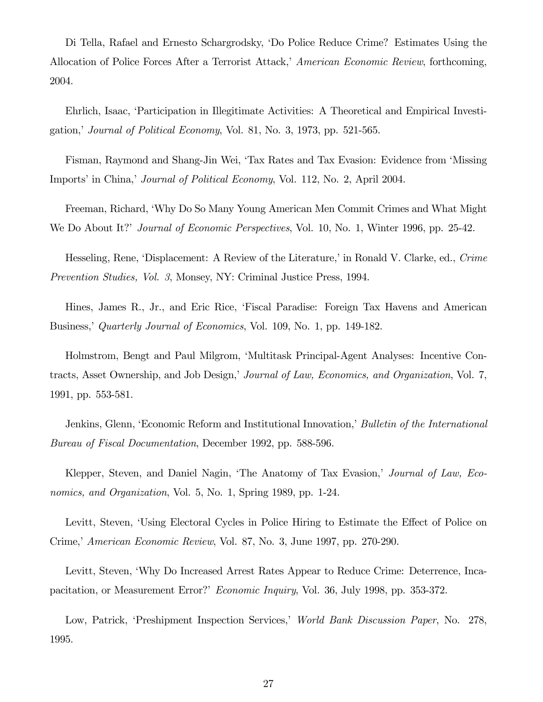Di Tella, Rafael and Ernesto Schargrodsky, 'Do Police Reduce Crime? Estimates Using the Allocation of Police Forces After a Terrorist Attack,' American Economic Review, forthcoming, 2004.

Ehrlich, Isaac, 'Participation in Illegitimate Activities: A Theoretical and Empirical Investigation,' Journal of Political Economy, Vol. 81, No. 3, 1973, pp. 521-565.

Fisman, Raymond and Shang-Jin Wei, 'Tax Rates and Tax Evasion: Evidence from 'Missing Imports' in China,' Journal of Political Economy, Vol. 112, No. 2, April 2004.

Freeman, Richard, 'Why Do So Many Young American Men Commit Crimes and What Might We Do About It?' *Journal of Economic Perspectives*, Vol. 10, No. 1, Winter 1996, pp. 25-42.

Hesseling, Rene, 'Displacement: A Review of the Literature,' in Ronald V. Clarke, ed., Crime Prevention Studies, Vol. 3, Monsey, NY: Criminal Justice Press, 1994.

Hines, James R., Jr., and Eric Rice, 'Fiscal Paradise: Foreign Tax Havens and American Business,' Quarterly Journal of Economics, Vol. 109, No. 1, pp. 149-182.

Holmstrom, Bengt and Paul Milgrom, 'Multitask Principal-Agent Analyses: Incentive Contracts, Asset Ownership, and Job Design,' Journal of Law, Economics, and Organization, Vol. 7, 1991, pp. 553-581.

Jenkins, Glenn, 'Economic Reform and Institutional Innovation,' Bulletin of the International Bureau of Fiscal Documentation, December 1992, pp. 588-596.

Klepper, Steven, and Daniel Nagin, 'The Anatomy of Tax Evasion,' Journal of Law, Economics, and Organization, Vol. 5, No. 1, Spring 1989, pp. 1-24.

Levitt, Steven, 'Using Electoral Cycles in Police Hiring to Estimate the Effect of Police on Crime,' American Economic Review, Vol. 87, No. 3, June 1997, pp. 270-290.

Levitt, Steven, 'Why Do Increased Arrest Rates Appear to Reduce Crime: Deterrence, Incapacitation, or Measurement Error?' Economic Inquiry, Vol. 36, July 1998, pp. 353-372.

Low, Patrick, 'Preshipment Inspection Services,' World Bank Discussion Paper, No. 278, 1995.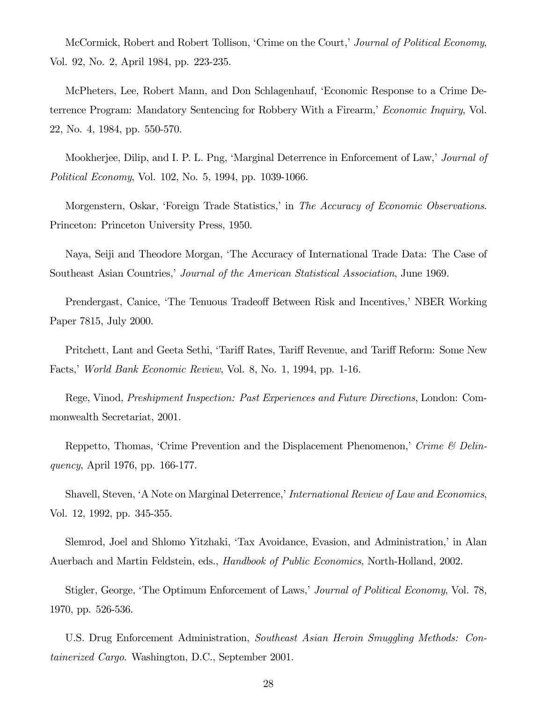McCormick, Robert and Robert Tollison, 'Crime on the Court,' Journal of Political Economy, Vol. 92, No. 2, April 1984, pp. 223-235.

McPheters, Lee, Robert Mann, and Don Schlagenhauf, 'Economic Response to a Crime Deterrence Program: Mandatory Sentencing for Robbery With a Firearm,' Economic Inquiry, Vol. 22, No. 4, 1984, pp. 550-570.

Mookherjee, Dilip, and I. P. L. Png, 'Marginal Deterrence in Enforcement of Law,' Journal of Political Economy, Vol. 102, No. 5, 1994, pp. 1039-1066.

Morgenstern, Oskar, 'Foreign Trade Statistics,' in The Accuracy of Economic Observations. Princeton: Princeton University Press, 1950.

Naya, Seiji and Theodore Morgan, 'The Accuracy of International Trade Data: The Case of Southeast Asian Countries,' Journal of the American Statistical Association, June 1969.

Prendergast, Canice, 'The Tenuous Tradeoff Between Risk and Incentives,' NBER Working Paper 7815, July 2000.

Pritchett, Lant and Geeta Sethi, 'Tariff Rates, Tariff Revenue, and Tariff Reform: Some New Facts,' World Bank Economic Review, Vol. 8, No. 1, 1994, pp. 1-16.

Rege, Vinod, Preshipment Inspection: Past Experiences and Future Directions, London: Commonwealth Secretariat, 2001.

Reppetto, Thomas, 'Crime Prevention and the Displacement Phenomenon,' Crime & Delinquency, April 1976, pp. 166-177.

Shavell, Steven, 'A Note on Marginal Deterrence,' International Review of Law and Economics, Vol. 12, 1992, pp. 345-355.

Slemrod, Joel and Shlomo Yitzhaki, 'Tax Avoidance, Evasion, and Administration,' in Alan Auerbach and Martin Feldstein, eds., Handbook of Public Economics, North-Holland, 2002.

Stigler, George, 'The Optimum Enforcement of Laws,' Journal of Political Economy, Vol. 78, 1970, pp. 526-536.

U.S. Drug Enforcement Administration, Southeast Asian Heroin Smuggling Methods: Containerized Cargo. Washington, D.C., September 2001.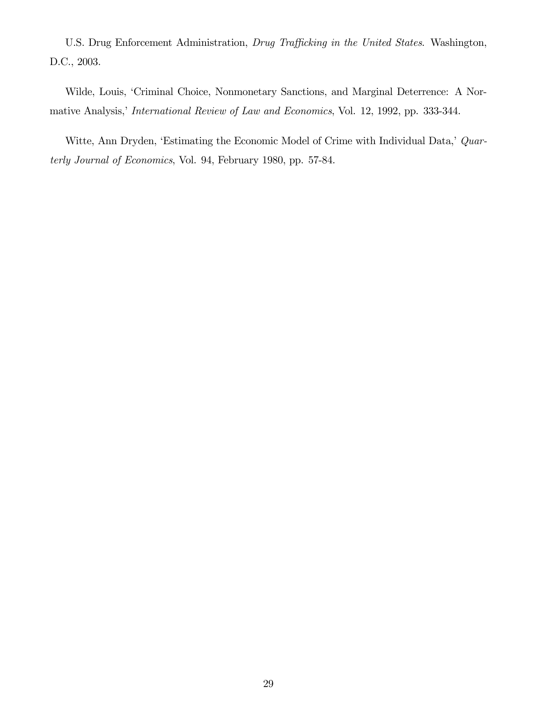U.S. Drug Enforcement Administration, Drug Trafficking in the United States. Washington, D.C., 2003.

Wilde, Louis, 'Criminal Choice, Nonmonetary Sanctions, and Marginal Deterrence: A Normative Analysis,' International Review of Law and Economics, Vol. 12, 1992, pp. 333-344.

Witte, Ann Dryden, 'Estimating the Economic Model of Crime with Individual Data,' Quarterly Journal of Economics, Vol. 94, February 1980, pp. 57-84.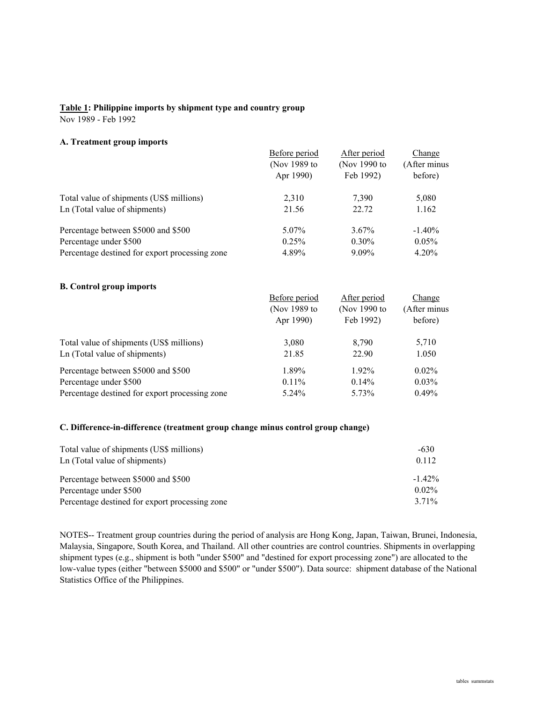## **Table 1: Philippine imports by shipment type and country group**

Nov 1989 - Feb 1992

#### **A. Treatment group imports**

|                                                | Before period | After period | Change       |
|------------------------------------------------|---------------|--------------|--------------|
|                                                | (Nov 1989 to  | (Nov 1990 to | (After minus |
|                                                | Apr 1990)     | Feb 1992)    | before)      |
| Total value of shipments (US\$ millions)       | 2,310         | 7,390        | 5,080        |
| Ln (Total value of shipments)                  | 21.56         | 22.72        | 1.162        |
| Percentage between \$5000 and \$500            | $5.07\%$      | $3.67\%$     | $-1.40\%$    |
| Percentage under \$500                         | 0.25%         | $0.30\%$     | $0.05\%$     |
| Percentage destined for export processing zone | 4.89%         | $9.09\%$     | $4.20\%$     |

#### **B. Control group imports**

|                                                | Before period | After period | Change<br>(After minus |
|------------------------------------------------|---------------|--------------|------------------------|
|                                                | (Nov 1989 to  | (Nov 1990 to |                        |
|                                                | Apr 1990)     | Feb 1992)    | before)                |
| Total value of shipments (US\$ millions)       | 3,080         | 8.790        | 5,710                  |
| Ln (Total value of shipments)                  | 21.85         | 22.90        | 1.050                  |
| Percentage between \$5000 and \$500            | 1.89%         | 1.92%        | $0.02\%$               |
| Percentage under \$500                         | $0.11\%$      | $0.14\%$     | $0.03\%$               |
| Percentage destined for export processing zone | 5.24%         | 5.73%        | $0.49\%$               |

#### **C. Difference-in-difference (treatment group change minus control group change)**

| Total value of shipments (US\$ millions)<br>Ln (Total value of shipments) | $-630$<br>0.112 |
|---------------------------------------------------------------------------|-----------------|
| Percentage between \$5000 and \$500                                       | $-1.42%$        |
| Percentage under \$500                                                    | $0.02\%$        |
| Percentage destined for export processing zone                            | 3.71%           |

NOTES-- Treatment group countries during the period of analysis are Hong Kong, Japan, Taiwan, Brunei, Indonesia, Malaysia, Singapore, South Korea, and Thailand. All other countries are control countries. Shipments in overlapping shipment types (e.g., shipment is both "under \$500" and "destined for export processing zone") are allocated to the low-value types (either "between \$5000 and \$500" or "under \$500"). Data source: shipment database of the National Statistics Office of the Philippines.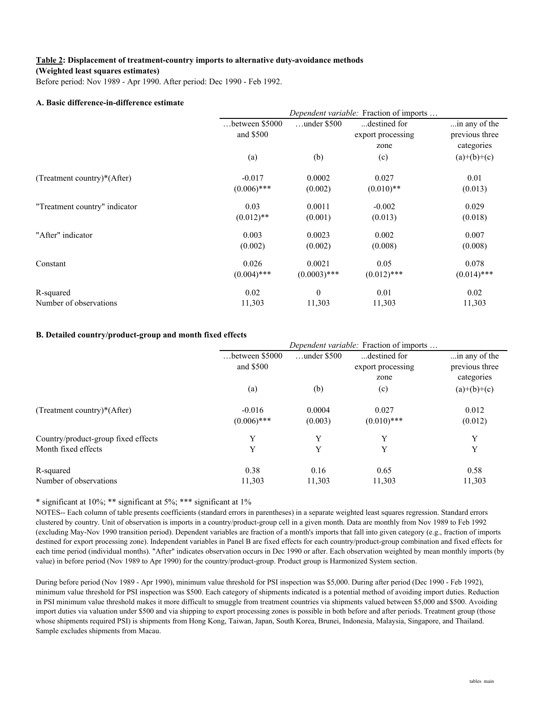#### **Table 2: Displacement of treatment-country imports to alternative duty-avoidance methods**

**(Weighted least squares estimates)**

Before period: Nov 1989 - Apr 1990. After period: Dec 1990 - Feb 1992.

#### **A. Basic difference-in-difference estimate**

|                               | <i>Dependent variable:</i> Fraction of imports |                     |                                           |                                               |
|-------------------------------|------------------------------------------------|---------------------|-------------------------------------------|-----------------------------------------------|
|                               | $$ between \$5000<br>and \$500                 | $\dots$ under \$500 | destined for<br>export processing<br>zone | in any of the<br>previous three<br>categories |
|                               | (a)                                            | (b)                 | (c)                                       | $(a)+(b)+(c)$                                 |
| (Treatment country)*(After)   | $-0.017$                                       | 0.0002              | 0.027                                     | 0.01                                          |
|                               | $(0.006)$ ***                                  | (0.002)             | $(0.010)**$                               | (0.013)                                       |
| "Treatment country" indicator | 0.03                                           | 0.0011              | $-0.002$                                  | 0.029                                         |
|                               | $(0.012)$ **                                   | (0.001)             | (0.013)                                   | (0.018)                                       |
| "After" indicator             | 0.003                                          | 0.0023              | 0.002                                     | 0.007                                         |
|                               | (0.002)                                        | (0.002)             | (0.008)                                   | (0.008)                                       |
| Constant                      | 0.026                                          | 0.0021              | 0.05                                      | 0.078                                         |
|                               | $(0.004)$ ***                                  | $(0.0003)$ ***      | $(0.012)$ ***                             | $(0.014)$ ***                                 |
| R-squared                     | 0.02                                           | $\theta$            | 0.01                                      | 0.02                                          |
| Number of observations        | 11,303                                         | 11,303              | 11,303                                    | 11,303                                        |

#### **B. Detailed country/product-group and month fixed effects**

|                                     | <i>Dependent variable:</i> Fraction of imports |                      |                   |                |
|-------------------------------------|------------------------------------------------|----------------------|-------------------|----------------|
|                                     | between \$5000                                 | $\ldots$ under \$500 | destined for      | in any of the  |
|                                     | and \$500                                      |                      | export processing | previous three |
|                                     |                                                |                      | zone              | categories     |
|                                     | (a)                                            | (b)                  | (c)               | $(a)+(b)+(c)$  |
| (Treatment country)*(After)         | $-0.016$                                       | 0.0004               | 0.027             | 0.012          |
|                                     | $(0.006)$ ***                                  | (0.003)              | $(0.010)$ ***     | (0.012)        |
| Country/product-group fixed effects | Y                                              | Y                    | Y                 | Y              |
| Month fixed effects                 | Y                                              | Y                    | Y                 | Y              |
| R-squared                           | 0.38                                           | 0.16                 | 0.65              | 0.58           |
| Number of observations              | 11,303                                         | 11,303               | 11,303            | 11,303         |

\* significant at 10%; \*\* significant at 5%; \*\*\* significant at 1%

NOTES-- Each column of table presents coefficients (standard errors in parentheses) in a separate weighted least squares regression. Standard errors clustered by country. Unit of observation is imports in a country/product-group cell in a given month. Data are monthly from Nov 1989 to Feb 1992 (excluding May-Nov 1990 transition period). Dependent variables are fraction of a month's imports that fall into given category (e.g., fraction of imports destined for export processing zone). Independent variables in Panel B are fixed effects for each country/product-group combination and fixed effects for each time period (individual months). "After" indicates observation occurs in Dec 1990 or after. Each observation weighted by mean monthly imports (by value) in before period (Nov 1989 to Apr 1990) for the country/product-group. Product group is Harmonized System section.

During before period (Nov 1989 - Apr 1990), minimum value threshold for PSI inspection was \$5,000. During after period (Dec 1990 - Feb 1992), minimum value threshold for PSI inspection was \$500. Each category of shipments indicated is a potential method of avoiding import duties. Reduction in PSI minimum value threshold makes it more difficult to smuggle from treatment countries via shipments valued between \$5,000 and \$500. Avoiding import duties via valuation under \$500 and via shipping to export processing zones is possible in both before and after periods. Treatment group (those whose shipments required PSI) is shipments from Hong Kong, Taiwan, Japan, South Korea, Brunei, Indonesia, Malaysia, Singapore, and Thailand. Sample excludes shipments from Macau.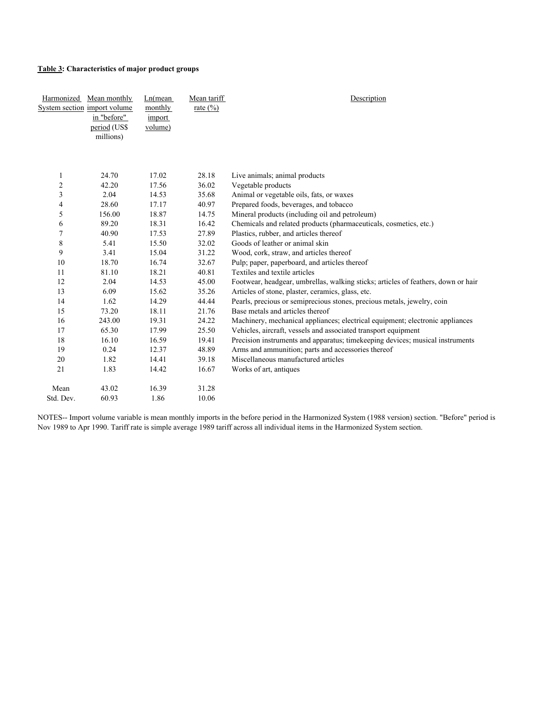#### **Table 3: Characteristics of major product groups**

| Harmonized<br>System section import volume | Mean monthly<br>in "before"<br>period (US\$<br>millions) | Ln(mean)<br>monthly<br>import<br>volume) | Mean tariff<br>rate $(\% )$ | Description                                                                       |
|--------------------------------------------|----------------------------------------------------------|------------------------------------------|-----------------------------|-----------------------------------------------------------------------------------|
| 1                                          | 24.70                                                    | 17.02                                    | 28.18                       | Live animals; animal products                                                     |
| $\overline{c}$                             | 42.20                                                    | 17.56                                    | 36.02                       | Vegetable products                                                                |
| 3                                          | 2.04                                                     | 14.53                                    | 35.68                       | Animal or vegetable oils, fats, or waxes                                          |
| $\overline{\mathcal{L}}$                   | 28.60                                                    | 17.17                                    | 40.97                       | Prepared foods, beverages, and tobacco                                            |
| 5                                          | 156.00                                                   | 18.87                                    | 14.75                       | Mineral products (including oil and petroleum)                                    |
| 6                                          | 89.20                                                    | 18.31                                    | 16.42                       | Chemicals and related products (pharmaceuticals, cosmetics, etc.)                 |
| $\overline{7}$                             | 40.90                                                    | 17.53                                    | 27.89                       | Plastics, rubber, and articles thereof                                            |
| 8                                          | 5.41                                                     | 15.50                                    | 32.02                       | Goods of leather or animal skin                                                   |
| 9                                          | 3.41                                                     | 15.04                                    | 31.22                       | Wood, cork, straw, and articles thereof                                           |
| 10                                         | 18.70                                                    | 16.74                                    | 32.67                       | Pulp; paper, paperboard, and articles thereof                                     |
| 11                                         | 81.10                                                    | 18.21                                    | 40.81                       | Textiles and textile articles                                                     |
| 12                                         | 2.04                                                     | 14.53                                    | 45.00                       | Footwear, headgear, umbrellas, walking sticks; articles of feathers, down or hair |
| 13                                         | 6.09                                                     | 15.62                                    | 35.26                       | Articles of stone, plaster, ceramics, glass, etc.                                 |
| 14                                         | 1.62                                                     | 14.29                                    | 44.44                       | Pearls, precious or semiprecious stones, precious metals, jewelry, coin           |
| 15                                         | 73.20                                                    | 18.11                                    | 21.76                       | Base metals and articles thereof                                                  |
| 16                                         | 243.00                                                   | 19.31                                    | 24.22                       | Machinery, mechanical appliances; electrical equipment; electronic appliances     |
| 17                                         | 65.30                                                    | 17.99                                    | 25.50                       | Vehicles, aircraft, vessels and associated transport equipment                    |
| 18                                         | 16.10                                                    | 16.59                                    | 19.41                       | Precision instruments and apparatus; timekeeping devices; musical instruments     |
| 19                                         | 0.24                                                     | 12.37                                    | 48.89                       | Arms and ammunition; parts and accessories thereof                                |
| 20                                         | 1.82                                                     | 14.41                                    | 39.18                       | Miscellaneous manufactured articles                                               |
| 21                                         | 1.83                                                     | 14.42                                    | 16.67                       | Works of art, antiques                                                            |
| Mean                                       | 43.02                                                    | 16.39                                    | 31.28                       |                                                                                   |
| Std. Dev.                                  | 60.93                                                    | 1.86                                     | 10.06                       |                                                                                   |

NOTES-- Import volume variable is mean monthly imports in the before period in the Harmonized System (1988 version) section. "Before" period is Nov 1989 to Apr 1990. Tariff rate is simple average 1989 tariff across all individual items in the Harmonized System section.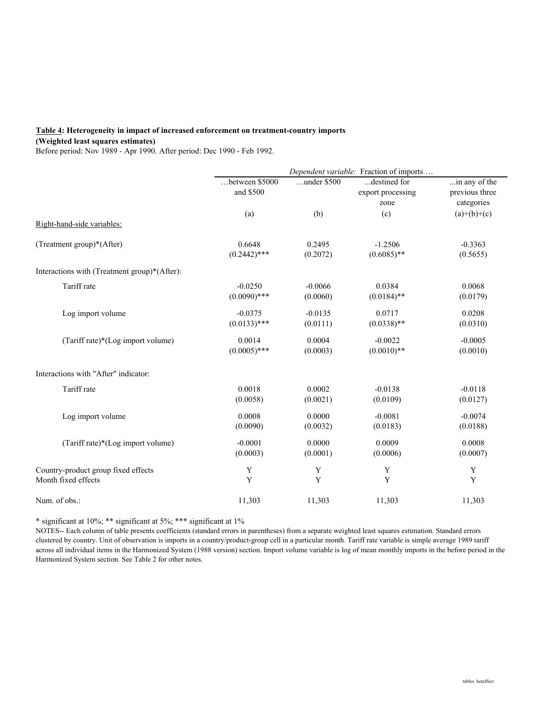#### **Table 4: Heterogeneity in impact of increased enforcement on treatment-country imports**

#### **(Weighted least squares estimates)**

Before period: Nov 1989 - Apr 1990. After period: Dec 1990 - Feb 1992.

|                                              | Dependent variable: Fraction of imports |                     |                                           |                                               |
|----------------------------------------------|-----------------------------------------|---------------------|-------------------------------------------|-----------------------------------------------|
|                                              | between \$5000<br>and \$500             | $\dots$ under \$500 | destined for<br>export processing<br>zone | in any of the<br>previous three<br>categories |
| Right-hand-side variables:                   | (a)                                     | (b)                 | (c)                                       | $(a)+(b)+(c)$                                 |
| (Treatment group)*(After)                    | 0.6648                                  | 0.2495              | $-1.2506$                                 | $-0.3363$                                     |
|                                              | $(0.2442)$ ***                          | (0.2072)            | $(0.6085)$ **                             | (0.5655)                                      |
| Interactions with (Treatment group)*(After): |                                         |                     |                                           |                                               |
| Tariff rate                                  | $-0.0250$                               | $-0.0066$           | 0.0384                                    | 0.0068                                        |
|                                              | $(0.0090)$ ***                          | (0.0060)            | $(0.0184)$ **                             | (0.0179)                                      |
| Log import volume                            | $-0.0375$                               | $-0.0135$           | 0.0717                                    | 0.0208                                        |
|                                              | $(0.0133)$ ***                          | (0.0111)            | $(0.0338)$ **                             | (0.0310)                                      |
| (Tariff rate)*(Log import volume)            | 0.0014                                  | 0.0004              | $-0.0022$                                 | $-0.0005$                                     |
|                                              | $(0.0005)$ ***                          | (0.0003)            | $(0.0010)**$                              | (0.0010)                                      |
| Interactions with "After" indicator:         |                                         |                     |                                           |                                               |
| Tariff rate                                  | 0.0018                                  | 0.0002              | $-0.0138$                                 | $-0.0118$                                     |
|                                              | (0.0058)                                | (0.0021)            | (0.0109)                                  | (0.0127)                                      |
| Log import volume                            | 0.0008                                  | 0.0000              | $-0.0081$                                 | $-0.0074$                                     |
|                                              | (0.0090)                                | (0.0032)            | (0.0183)                                  | (0.0188)                                      |
| (Tariff rate)*(Log import volume)            | $-0.0001$                               | 0.0000              | 0.0009                                    | 0.0008                                        |
|                                              | (0.0003)                                | (0.0001)            | (0.0006)                                  | (0.0007)                                      |
| Country-product group fixed effects          | Y                                       | Y                   | Y                                         | $\mathbf Y$                                   |
| Month fixed effects                          | Y                                       | Y                   | Y                                         | Y                                             |
| Num. of obs.:                                | 11,303                                  | 11,303              | 11,303                                    | 11,303                                        |

\* significant at 10%; \*\* significant at 5%; \*\*\* significant at 1%

NOTES-- Each column of table presents coefficients (standard errors in parentheses) from a separate weighted least squares estimation. Standard errors clustered by country. Unit of observation is imports in a country/product-group cell in a particular month. Tariff rate variable is simple average 1989 tariff across all individual items in the Harmonized System (1988 version) section. Import volume variable is log of mean monthly imports in the before period in the Harmonized System section. See Table 2 for other notes.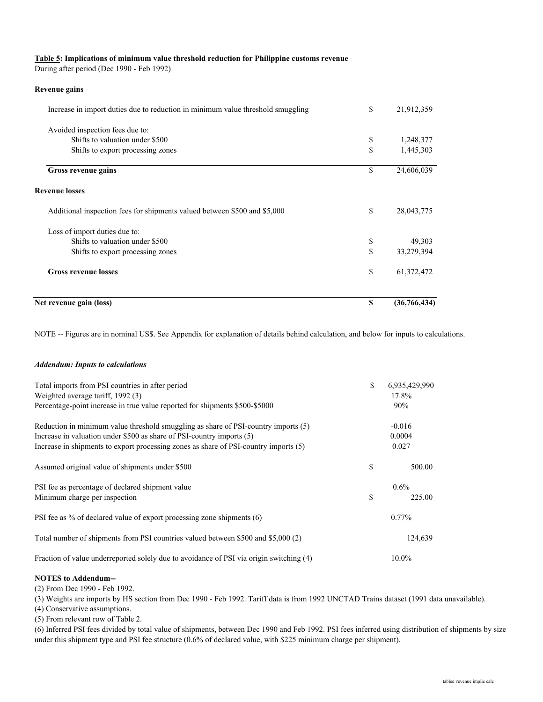#### **Table 5: Implications of minimum value threshold reduction for Philippine customs revenue**

During after period (Dec 1990 - Feb 1992)

#### **Revenue gains**

| Net revenue gain (loss)                                                         | \$<br>(36, 766, 434) |
|---------------------------------------------------------------------------------|----------------------|
|                                                                                 |                      |
| <b>Gross revenue losses</b>                                                     | \$<br>61,372,472     |
| Shifts to export processing zones                                               | \$<br>33,279,394     |
| Shifts to valuation under \$500                                                 | \$<br>49,303         |
| Loss of import duties due to:                                                   |                      |
| Additional inspection fees for shipments valued between \$500 and \$5,000       | \$<br>28,043,775     |
| <b>Revenue losses</b>                                                           |                      |
| Gross revenue gains                                                             | \$<br>24,606,039     |
| Shifts to export processing zones                                               | \$<br>1,445,303      |
|                                                                                 | \$<br>1,248,377      |
| Avoided inspection fees due to:<br>Shifts to valuation under \$500              |                      |
| Increase in import duties due to reduction in minimum value threshold smuggling | \$<br>21,912,359     |

NOTE -- Figures are in nominal US\$. See Appendix for explanation of details behind calculation, and below for inputs to calculations.

#### *Addendum: Inputs to calculations*

| Total imports from PSI countries in after period<br>Weighted average tariff, 1992 (3)<br>Percentage-point increase in true value reported for shipments \$500-\$5000                                                                                | \$<br>6,935,429,990<br>17.8%<br>90% |
|-----------------------------------------------------------------------------------------------------------------------------------------------------------------------------------------------------------------------------------------------------|-------------------------------------|
| Reduction in minimum value threshold smuggling as share of PSI-country imports (5)<br>Increase in valuation under \$500 as share of PSI-country imports (5)<br>Increase in shipments to export processing zones as share of PSI-country imports (5) | $-0.016$<br>0.0004<br>0.027         |
| Assumed original value of shipments under \$500                                                                                                                                                                                                     | \$<br>500.00                        |
| PSI fee as percentage of declared shipment value<br>Minimum charge per inspection                                                                                                                                                                   | \$<br>$0.6\%$<br>225.00             |
| PSI fee as % of declared value of export processing zone shipments (6)                                                                                                                                                                              | $0.77\%$                            |
| Total number of shipments from PSI countries valued between \$500 and \$5,000 (2)                                                                                                                                                                   | 124,639                             |
| Fraction of value underreported solely due to avoidance of PSI via origin switching (4)                                                                                                                                                             | 10.0%                               |

#### **NOTES to Addendum--**

(2) From Dec 1990 - Feb 1992.

(3) Weights are imports by HS section from Dec 1990 - Feb 1992. Tariff data is from 1992 UNCTAD Trains dataset (1991 data unavailable).

(4) Conservative assumptions.

(5) From relevant row of Table 2.

(6) Inferred PSI fees divided by total value of shipments, between Dec 1990 and Feb 1992. PSI fees inferred using distribution of shipments by size under this shipment type and PSI fee structure (0.6% of declared value, with \$225 minimum charge per shipment).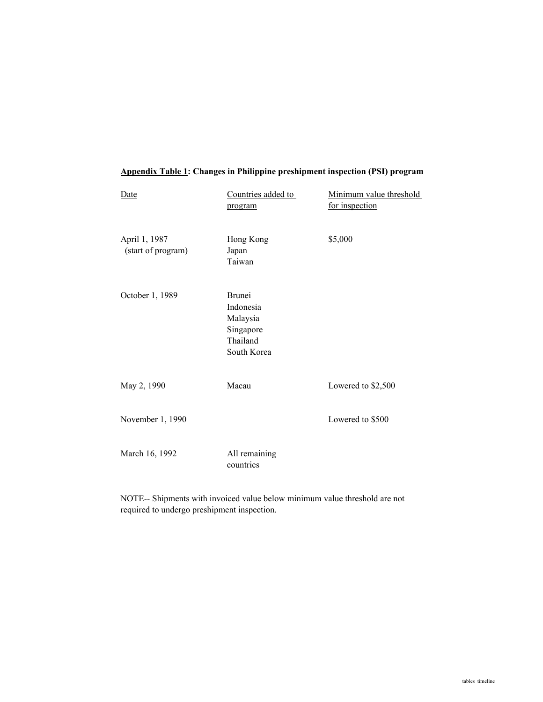| Date                                | Countries added to<br>program                                                  | Minimum value threshold<br>for inspection |
|-------------------------------------|--------------------------------------------------------------------------------|-------------------------------------------|
| April 1, 1987<br>(start of program) | Hong Kong<br>Japan<br>Taiwan                                                   | \$5,000                                   |
| October 1, 1989                     | <b>Brunei</b><br>Indonesia<br>Malaysia<br>Singapore<br>Thailand<br>South Korea |                                           |
| May 2, 1990                         | Macau                                                                          | Lowered to \$2,500                        |
| November 1, 1990                    |                                                                                | Lowered to \$500                          |
| March 16, 1992                      | All remaining<br>countries                                                     |                                           |

## **Appendix Table 1: Changes in Philippine preshipment inspection (PSI) program**

NOTE-- Shipments with invoiced value below minimum value threshold are not required to undergo preshipment inspection.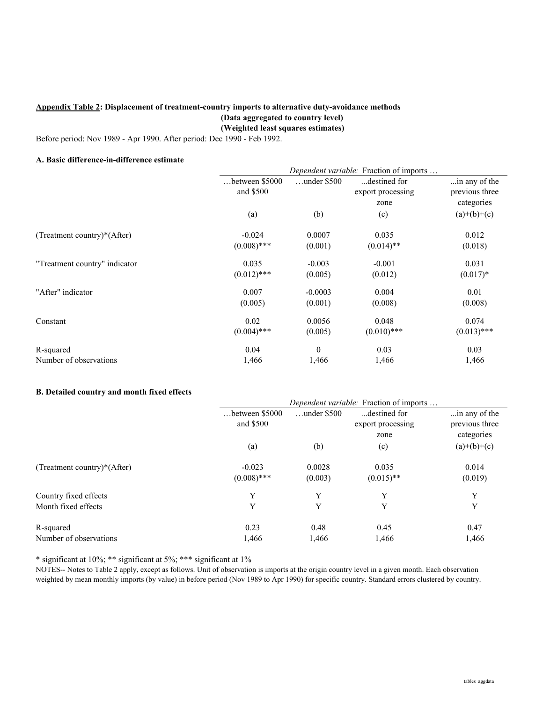#### **Appendix Table 2: Displacement of treatment-country imports to alternative duty-avoidance methods (Data aggregated to country level) (Weighted least squares estimates)**

Before period: Nov 1989 - Apr 1990. After period: Dec 1990 - Feb 1992.

#### **A. Basic difference-in-difference estimate**

|                               | <i>Dependent variable:</i> Fraction of imports |                      |                                           |                                               |
|-------------------------------|------------------------------------------------|----------------------|-------------------------------------------|-----------------------------------------------|
|                               | $$ between \$5000<br>and \$500                 | $\ldots$ under \$500 | destined for<br>export processing<br>zone | in any of the<br>previous three<br>categories |
|                               | (a)                                            | (b)                  | (c)                                       | $(a)+(b)+(c)$                                 |
| (Treatment country)*(After)   | $-0.024$                                       | 0.0007               | 0.035                                     | 0.012                                         |
|                               | $(0.008)$ ***                                  | (0.001)              | $(0.014)$ **                              | (0.018)                                       |
| "Treatment country" indicator | 0.035                                          | $-0.003$             | $-0.001$                                  | 0.031                                         |
|                               | $(0.012)$ ***                                  | (0.005)              | (0.012)                                   | $(0.017)*$                                    |
| "After" indicator             | 0.007                                          | $-0.0003$            | 0.004                                     | 0.01                                          |
|                               | (0.005)                                        | (0.001)              | (0.008)                                   | (0.008)                                       |
| Constant                      | 0.02                                           | 0.0056               | 0.048                                     | 0.074                                         |
|                               | $(0.004)$ ***                                  | (0.005)              | $(0.010)$ ***                             | $(0.013)$ ***                                 |
| R-squared                     | 0.04                                           | $\theta$             | 0.03                                      | 0.03                                          |
| Number of observations        | 1,466                                          | 1,466                | 1,466                                     | 1,466                                         |

#### **B. Detailed country and month fixed effects**

|                             | Dependent variable: Fraction of imports |                      |                   |                |
|-----------------------------|-----------------------------------------|----------------------|-------------------|----------------|
|                             | $$ between \$5000                       | $\ldots$ under \$500 | destined for      | in any of the  |
|                             | and \$500                               |                      | export processing | previous three |
|                             |                                         |                      | zone              | categories     |
|                             | (a)                                     | (b)                  | (c)               | $(a)+(b)+(c)$  |
| (Treatment country)*(After) | $-0.023$                                | 0.0028               | 0.035             | 0.014          |
|                             | $(0.008)$ ***                           | (0.003)              | $(0.015)$ **      | (0.019)        |
| Country fixed effects       | Y                                       | Y                    | Y                 | Y              |
| Month fixed effects         | Y                                       | Y                    | Y                 | Y              |
| R-squared                   | 0.23                                    | 0.48                 | 0.45              | 0.47           |
| Number of observations      | 1,466                                   | 1,466                | 1,466             | 1,466          |

 $\hspace{0.1mm}^*$  significant at 10%; \*\*\* significant at 1%

NOTES-- Notes to Table 2 apply, except as follows. Unit of observation is imports at the origin country level in a given month. Each observation weighted by mean monthly imports (by value) in before period (Nov 1989 to Apr 1990) for specific country. Standard errors clustered by country.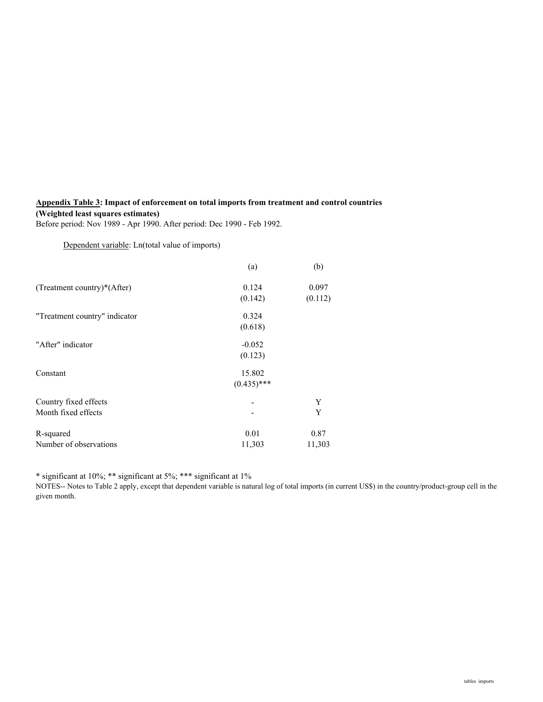## **Appendix Table 3: Impact of enforcement on total imports from treatment and control countries (Weighted least squares estimates)**

Before period: Nov 1989 - Apr 1990. After period: Dec 1990 - Feb 1992.

Dependent variable: Ln(total value of imports)

|                               | (a)           | (b)     |
|-------------------------------|---------------|---------|
| (Treatment country)*(After)   | 0.124         | 0.097   |
|                               | (0.142)       | (0.112) |
| "Treatment country" indicator | 0.324         |         |
|                               | (0.618)       |         |
| "After" indicator             | $-0.052$      |         |
|                               | (0.123)       |         |
| Constant                      | 15.802        |         |
|                               | $(0.435)$ *** |         |
| Country fixed effects         |               | Y       |
| Month fixed effects           |               | Y       |
| R-squared                     | 0.01          | 0.87    |
| Number of observations        | 11,303        | 11,303  |

\* significant at 10%; \*\* significant at 5%; \*\*\* significant at 1%

NOTES-- Notes to Table 2 apply, except that dependent variable is natural log of total imports (in current US\$) in the country/product-group cell in the given month.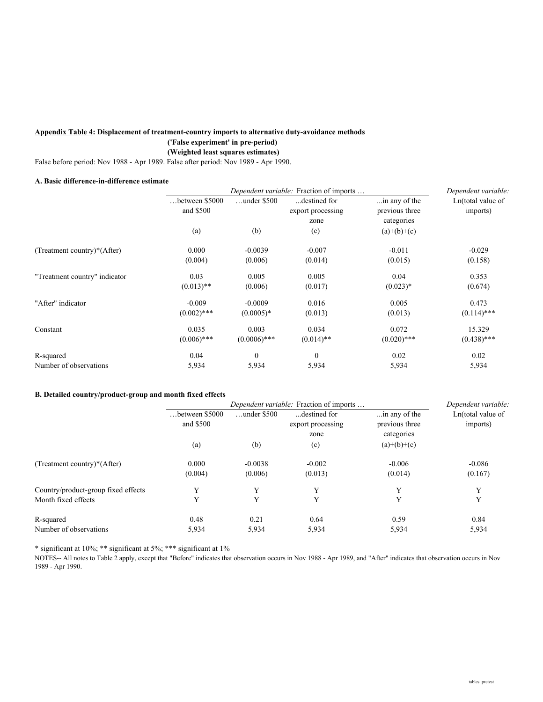#### **Appendix Table 4: Displacement of treatment-country imports to alternative duty-avoidance methods ('False experiment' in pre-period) (Weighted least squares estimates)**

False before period: Nov 1988 - Apr 1989. False after period: Nov 1989 - Apr 1990.

#### **A. Basic difference-in-difference estimate**

|                                    | Dependent variable:         |                                                  |                                                                |                                         |
|------------------------------------|-----------------------------|--------------------------------------------------|----------------------------------------------------------------|-----------------------------------------|
| between \$5000<br>and \$500<br>(a) | $\ldots$ under \$500<br>(b) | destined for<br>export processing<br>zone<br>(c) | in any of the<br>previous three<br>categories<br>$(a)+(b)+(c)$ | Ln(total value of<br>imports)           |
|                                    |                             |                                                  |                                                                |                                         |
| (0.004)                            | (0.006)                     | (0.014)                                          | (0.015)                                                        | (0.158)                                 |
| 0.03                               | 0.005                       | 0.005                                            | 0.04                                                           | 0.353                                   |
| $(0.013)$ **                       | (0.006)                     | (0.017)                                          | $(0.023)*$                                                     | (0.674)                                 |
| $-0.009$                           | $-0.0009$                   | 0.016                                            | 0.005                                                          | 0.473                                   |
| $(0.002)$ ***                      | $(0.0005)*$                 | (0.013)                                          | (0.013)                                                        | $(0.114)$ ***                           |
| 0.035                              | 0.003                       | 0.034                                            | 0.072                                                          | 15.329                                  |
| $(0.006)$ ***                      | $(0.0006)$ ***              | $(0.014)$ **                                     | $(0.020)$ ***                                                  | $(0.438)$ ***                           |
| 0.04                               | $\theta$                    | $\mathbf{0}$                                     | 0.02                                                           | 0.02                                    |
| 5,934                              | 5,934                       | 5,934                                            | 5,934                                                          | 5,934                                   |
|                                    |                             |                                                  |                                                                | Dependent variable: Fraction of imports |

#### **B. Detailed country/product-group and month fixed effects**

|                                     |                                    | Dependent variable:         |                                                  |                                                                |                               |
|-------------------------------------|------------------------------------|-----------------------------|--------------------------------------------------|----------------------------------------------------------------|-------------------------------|
|                                     | between \$5000<br>and \$500<br>(a) | $\ldots$ under \$500<br>(b) | destined for<br>export processing<br>zone<br>(c) | in any of the<br>previous three<br>categories<br>$(a)+(b)+(c)$ | Ln(total value of<br>imports) |
|                                     |                                    |                             |                                                  |                                                                |                               |
| (Treatment country)*(After)         | 0.000                              | $-0.0038$                   | $-0.002$                                         | $-0.006$                                                       | $-0.086$                      |
|                                     | (0.004)                            | (0.006)                     | (0.013)                                          | (0.014)                                                        | (0.167)                       |
| Country/product-group fixed effects | Y                                  | $\mathbf v$                 | Y                                                | Y                                                              | Y                             |
| Month fixed effects                 | Y                                  | $\mathbf{v}$                | Y                                                | Y                                                              | Y                             |
| R-squared                           | 0.48                               | 0.21                        | 0.64                                             | 0.59                                                           | 0.84                          |
| Number of observations              | 5,934                              | 5,934                       | 5,934                                            | 5,934                                                          | 5,934                         |

\* significant at 10%; \*\* significant at 5%; \*\*\* significant at 1%

NOTES-- All notes to Table 2 apply, except that "Before" indicates that observation occurs in Nov 1988 - Apr 1989, and "After" indicates that observation occurs in Nov 1989 - Apr 1990.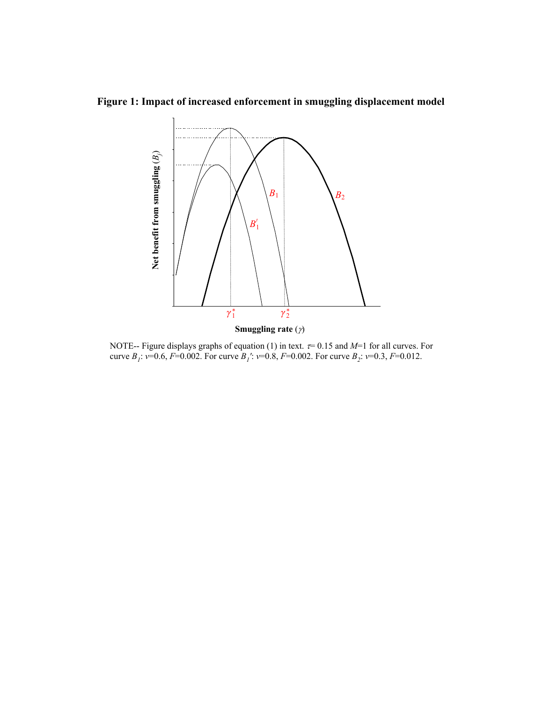**Figure 1: Impact of increased enforcement in smuggling displacement model**



NOTE-- Figure displays graphs of equation (1) in text.  $\tau$  = 0.15 and *M*=1 for all curves. For curve  $B_1$ : *v*=0.6, *F*=0.002. For curve  $B_1$ ': *v*=0.8, *F*=0.002. For curve  $B_2$ : *v*=0.3, *F*=0.012.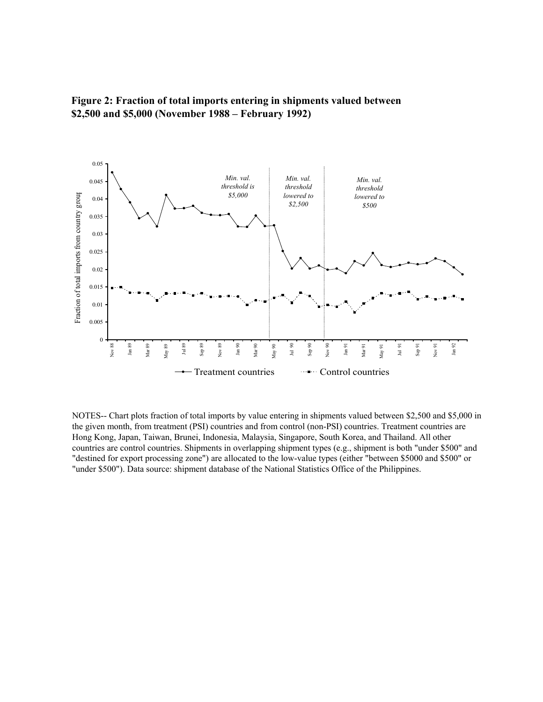

### **Figure 2: Fraction of total imports entering in shipments valued between \$2,500 and \$5,000 (November 1988 – February 1992)**

NOTES-- Chart plots fraction of total imports by value entering in shipments valued between \$2,500 and \$5,000 in the given month, from treatment (PSI) countries and from control (non-PSI) countries. Treatment countries are Hong Kong, Japan, Taiwan, Brunei, Indonesia, Malaysia, Singapore, South Korea, and Thailand. All other countries are control countries. Shipments in overlapping shipment types (e.g., shipment is both "under \$500" and "destined for export processing zone") are allocated to the low-value types (either "between \$5000 and \$500" or "under \$500"). Data source: shipment database of the National Statistics Office of the Philippines.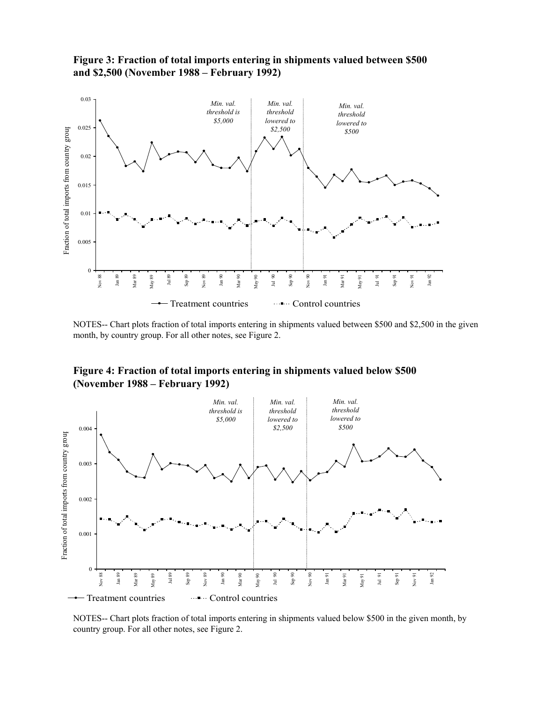



NOTES-- Chart plots fraction of total imports entering in shipments valued between \$500 and \$2,500 in the given month, by country group. For all other notes, see Figure 2.

### **Figure 4: Fraction of total imports entering in shipments valued below \$500 (November 1988 – February 1992)**



NOTES-- Chart plots fraction of total imports entering in shipments valued below \$500 in the given month, by country group. For all other notes, see Figure 2.